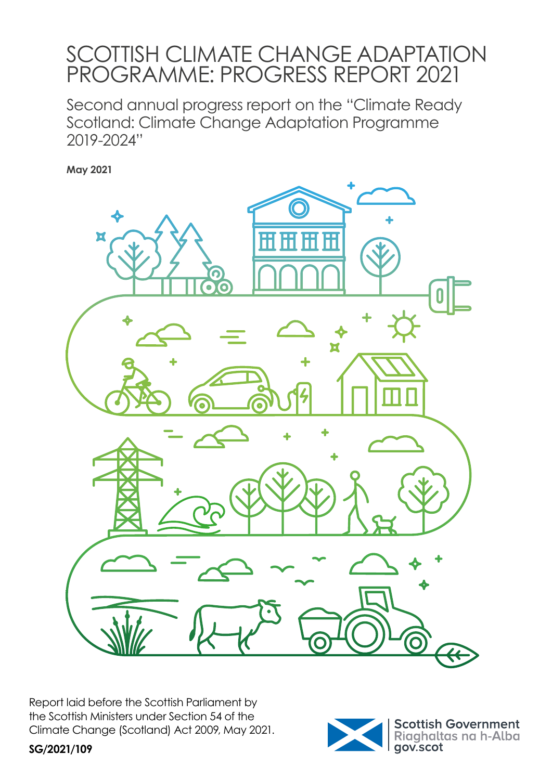# SCOTTISH CLIMATE CHANGE ADAPTATION PROGRAMME: PROGRESS REPORT 2021

Second annual progress report on the "Climate Ready Scotland: Climate Change Adaptation Programme 2019-2024"

**May 2021**



Report laid before the Scottish Parliament by the Scottish Ministers under Section 54 of the Climate Change (Scotland) Act 2009, May 2021.



**SG/2021/109**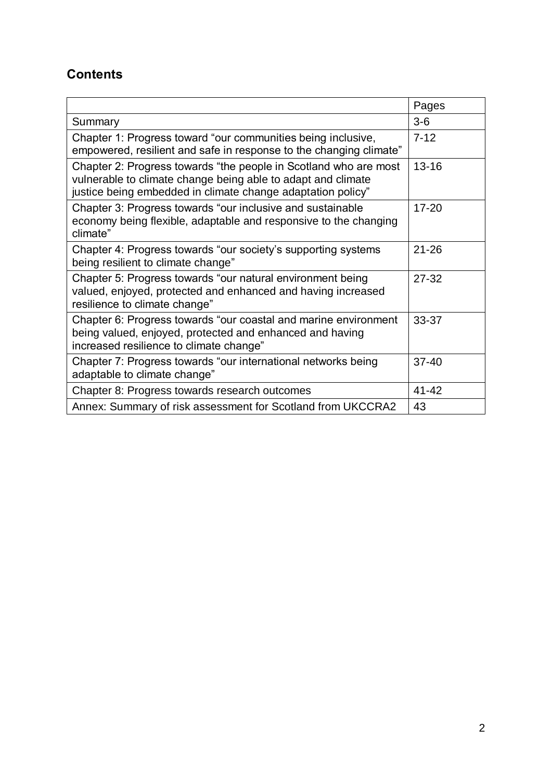# **Contents**

|                                                                                                                                                                                                 | Pages     |
|-------------------------------------------------------------------------------------------------------------------------------------------------------------------------------------------------|-----------|
| Summary                                                                                                                                                                                         | $3-6$     |
| Chapter 1: Progress toward "our communities being inclusive,<br>empowered, resilient and safe in response to the changing climate"                                                              | $7 - 12$  |
| Chapter 2: Progress towards "the people in Scotland who are most<br>vulnerable to climate change being able to adapt and climate<br>justice being embedded in climate change adaptation policy" | $13 - 16$ |
| Chapter 3: Progress towards "our inclusive and sustainable<br>economy being flexible, adaptable and responsive to the changing<br>climate"                                                      | $17 - 20$ |
| Chapter 4: Progress towards "our society's supporting systems<br>being resilient to climate change"                                                                                             | $21 - 26$ |
| Chapter 5: Progress towards "our natural environment being<br>valued, enjoyed, protected and enhanced and having increased<br>resilience to climate change"                                     | $27 - 32$ |
| Chapter 6: Progress towards "our coastal and marine environment<br>being valued, enjoyed, protected and enhanced and having<br>increased resilience to climate change"                          | 33-37     |
| Chapter 7: Progress towards "our international networks being<br>adaptable to climate change"                                                                                                   | $37 - 40$ |
| Chapter 8: Progress towards research outcomes                                                                                                                                                   | $41 - 42$ |
| Annex: Summary of risk assessment for Scotland from UKCCRA2                                                                                                                                     | 43        |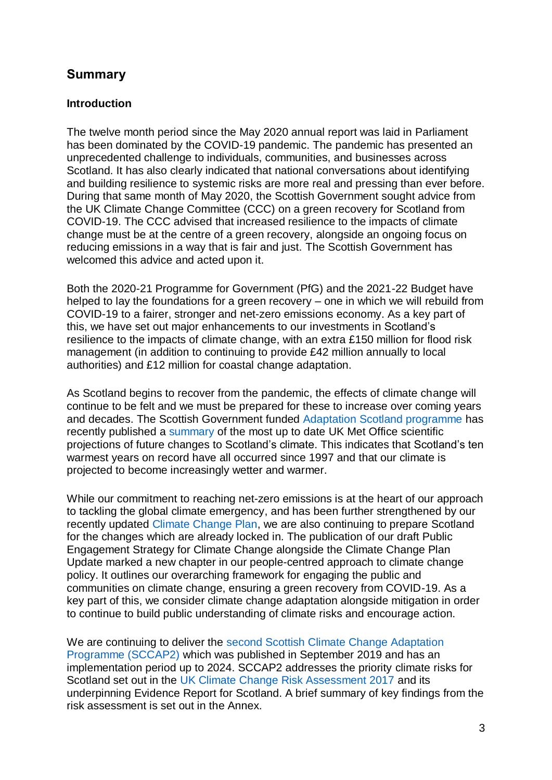# **Summary**

#### **Introduction**

The twelve month period since the May 2020 annual report was laid in Parliament has been dominated by the COVID-19 pandemic. The pandemic has presented an unprecedented challenge to individuals, communities, and businesses across Scotland. It has also clearly indicated that national conversations about identifying and building resilience to systemic risks are more real and pressing than ever before. During that same month of May 2020, the Scottish Government sought advice from the UK Climate Change Committee (CCC) on a green recovery for Scotland from COVID-19. The CCC advised that increased resilience to the impacts of climate change must be at the centre of a green recovery, alongside an ongoing focus on reducing emissions in a way that is fair and just. The Scottish Government has welcomed this advice and acted upon it.

Both the 2020-21 Programme for Government (PfG) and the 2021-22 Budget have helped to lay the foundations for a green recovery – one in which we will rebuild from COVID-19 to a fairer, stronger and net-zero emissions economy. As a key part of this, we have set out major enhancements to our investments in Scotland's resilience to the impacts of climate change, with an extra £150 million for flood risk management (in addition to continuing to provide £42 million annually to local authorities) and £12 million for coastal change adaptation.

As Scotland begins to recover from the pandemic, the effects of climate change will continue to be felt and we must be prepared for these to increase over coming years and decades. The Scottish Government funded [Adaptation Scotland programme](https://adaptationscotland.org.uk/) has recently published a [summary](https://www.adaptationscotland.org.uk/application/files/5716/1114/1258/Climate_projections_for_Scotland_summary_single_page_FINAL.pdf) of the most up to date UK Met Office scientific projections of future changes to Scotland's climate. This indicates that Scotland's ten warmest years on record have all occurred since 1997 and that our climate is projected to become increasingly wetter and warmer.

While our commitment to reaching net-zero emissions is at the heart of our approach to tackling the global climate emergency, and has been further strengthened by our recently updated [Climate Change Plan,](https://www.gov.scot/binaries/content/documents/govscot/publications/strategy-plan/2020/12/securing-green-recovery-path-net-zero-update-climate-change-plan-20182032/documents/update-climate-change-plan-2018-2032-securing-green-recovery-path-net-zero/update-climate-change-plan-2018-2032-securing-green-recovery-path-net-zero/govscot%3Adocument/update-climate-change-plan-2018-2032-securing-green-recovery-path-net-zero.pdf) we are also continuing to prepare Scotland for the changes which are already locked in. The publication of our draft Public Engagement Strategy for Climate Change alongside the Climate Change Plan Update marked a new chapter in our people-centred approach to climate change policy. It outlines our overarching framework for engaging the public and communities on climate change, ensuring a green recovery from COVID-19. As a key part of this, we consider climate change adaptation alongside mitigation in order to continue to build public understanding of climate risks and encourage action.

We are continuing to deliver the second Scottish Climate Change Adaptation [Programme \(SCCAP2\)](https://www.gov.scot/publications/climate-ready-scotland-second-scottish-climate-change-adaptation-programme-2019-2024/) which was published in September 2019 and has an implementation period up to 2024. SCCAP2 addresses the priority climate risks for Scotland set out in the [UK Climate Change Risk Assessment 2017](https://www.gov.uk/government/publications/uk-climate-change-risk-assessment-2017) and its underpinning Evidence Report for Scotland. A brief summary of key findings from the risk assessment is set out in the Annex.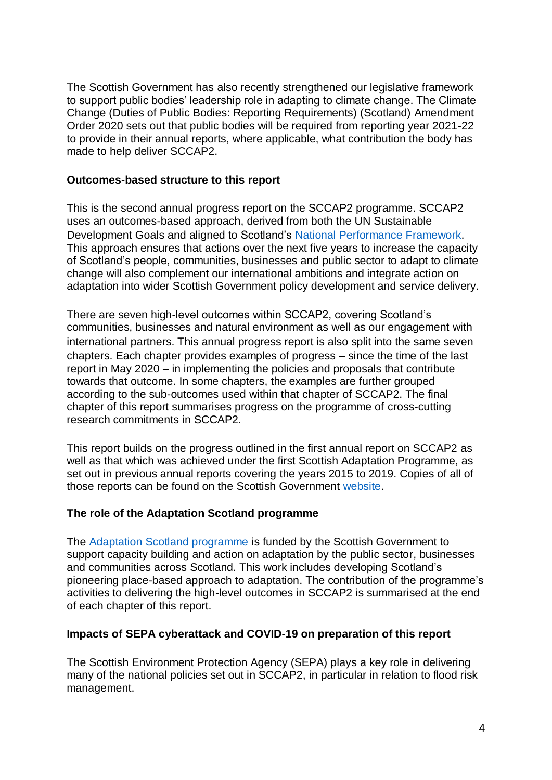The Scottish Government has also recently strengthened our legislative framework to support public bodies' leadership role in adapting to climate change. The Climate Change (Duties of Public Bodies: Reporting Requirements) (Scotland) Amendment Order 2020 sets out that public bodies will be required from reporting year 2021-22 to provide in their annual reports, where applicable, what contribution the body has made to help deliver SCCAP2.

#### **Outcomes-based structure to this report**

This is the second annual progress report on the SCCAP2 programme. SCCAP2 uses an outcomes-based approach, derived from both the UN Sustainable Development Goals and aligned to Scotland's [National Performance Framework.](https://nationalperformance.gov.scot/) This approach ensures that actions over the next five years to increase the capacity of Scotland's people, communities, businesses and public sector to adapt to climate change will also complement our international ambitions and integrate action on adaptation into wider Scottish Government policy development and service delivery.

There are seven high-level outcomes within SCCAP2, covering Scotland's communities, businesses and natural environment as well as our engagement with international partners. This annual progress report is also split into the same seven chapters. Each chapter provides examples of progress – since the time of the last report in May 2020 – in implementing the policies and proposals that contribute towards that outcome. In some chapters, the examples are further grouped according to the sub-outcomes used within that chapter of SCCAP2. The final chapter of this report summarises progress on the programme of cross-cutting research commitments in SCCAP2.

This report builds on the progress outlined in the first annual report on SCCAP2 as well as that which was achieved under the first Scottish Adaptation Programme, as set out in previous annual reports covering the years 2015 to 2019. Copies of all of those reports can be found on the Scottish Government [website.](https://www.gov.scot/policies/climate-change/climate-change-adaptation/)

#### **The role of the Adaptation Scotland programme**

The [Adaptation Scotland programme](https://adaptationscotland.org.uk/) is funded by the Scottish Government to support capacity building and action on adaptation by the public sector, businesses and communities across Scotland. This work includes developing Scotland's pioneering place-based approach to adaptation. The contribution of the programme's activities to delivering the high-level outcomes in SCCAP2 is summarised at the end of each chapter of this report.

#### **Impacts of SEPA cyberattack and COVID-19 on preparation of this report**

The Scottish Environment Protection Agency (SEPA) plays a key role in delivering many of the national policies set out in SCCAP2, in particular in relation to flood risk management.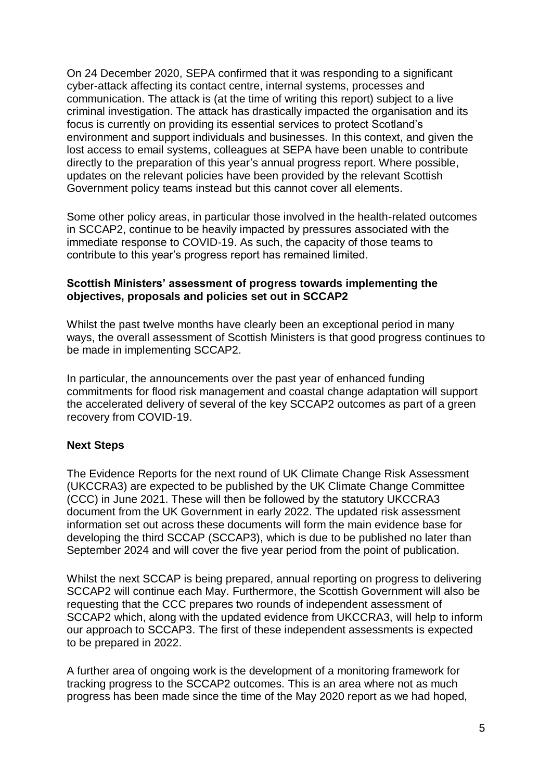On 24 December 2020, SEPA confirmed that it was responding to a significant cyber-attack affecting its contact centre, internal systems, processes and communication. The attack is (at the time of writing this report) subject to a live criminal investigation. The attack has drastically impacted the organisation and its focus is currently on providing its essential services to protect Scotland's environment and support individuals and businesses. In this context, and given the lost access to email systems, colleagues at SEPA have been unable to contribute directly to the preparation of this year's annual progress report. Where possible, updates on the relevant policies have been provided by the relevant Scottish Government policy teams instead but this cannot cover all elements.

Some other policy areas, in particular those involved in the health-related outcomes in SCCAP2, continue to be heavily impacted by pressures associated with the immediate response to COVID-19. As such, the capacity of those teams to contribute to this year's progress report has remained limited.

#### **Scottish Ministers' assessment of progress towards implementing the objectives, proposals and policies set out in SCCAP2**

Whilst the past twelve months have clearly been an exceptional period in many ways, the overall assessment of Scottish Ministers is that good progress continues to be made in implementing SCCAP2.

In particular, the announcements over the past year of enhanced funding commitments for flood risk management and coastal change adaptation will support the accelerated delivery of several of the key SCCAP2 outcomes as part of a green recovery from COVID-19.

#### **Next Steps**

The Evidence Reports for the next round of UK Climate Change Risk Assessment (UKCCRA3) are expected to be published by the UK Climate Change Committee (CCC) in June 2021. These will then be followed by the statutory UKCCRA3 document from the UK Government in early 2022. The updated risk assessment information set out across these documents will form the main evidence base for developing the third SCCAP (SCCAP3), which is due to be published no later than September 2024 and will cover the five year period from the point of publication.

Whilst the next SCCAP is being prepared, annual reporting on progress to delivering SCCAP2 will continue each May. Furthermore, the Scottish Government will also be requesting that the CCC prepares two rounds of independent assessment of SCCAP2 which, along with the updated evidence from UKCCRA3, will help to inform our approach to SCCAP3. The first of these independent assessments is expected to be prepared in 2022.

A further area of ongoing work is the development of a monitoring framework for tracking progress to the SCCAP2 outcomes. This is an area where not as much progress has been made since the time of the May 2020 report as we had hoped,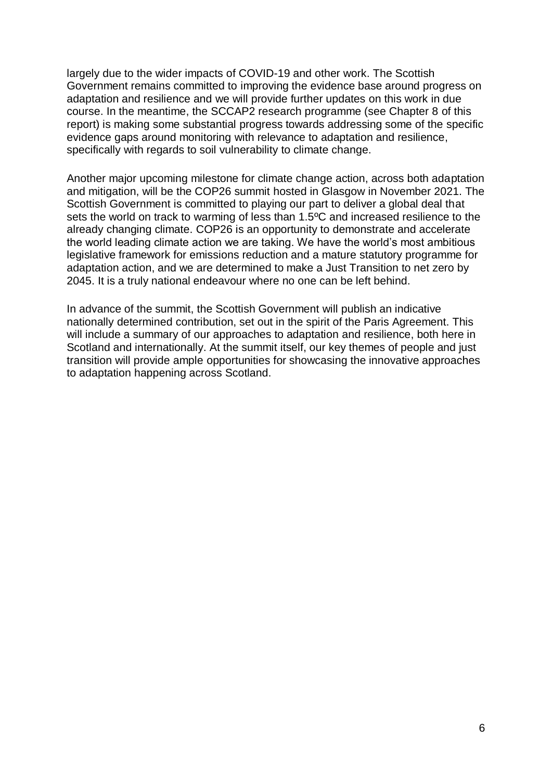largely due to the wider impacts of COVID-19 and other work. The Scottish Government remains committed to improving the evidence base around progress on adaptation and resilience and we will provide further updates on this work in due course. In the meantime, the SCCAP2 research programme (see Chapter 8 of this report) is making some substantial progress towards addressing some of the specific evidence gaps around monitoring with relevance to adaptation and resilience, specifically with regards to soil vulnerability to climate change.

Another major upcoming milestone for climate change action, across both adaptation and mitigation, will be the COP26 summit hosted in Glasgow in November 2021. The Scottish Government is committed to playing our part to deliver a global deal that sets the world on track to warming of less than 1.5ºC and increased resilience to the already changing climate. COP26 is an opportunity to demonstrate and accelerate the world leading climate action we are taking. We have the world's most ambitious legislative framework for emissions reduction and a mature statutory programme for adaptation action, and we are determined to make a Just Transition to net zero by 2045. It is a truly national endeavour where no one can be left behind.

In advance of the summit, the Scottish Government will publish an indicative nationally determined contribution, set out in the spirit of the Paris Agreement. This will include a summary of our approaches to adaptation and resilience, both here in Scotland and internationally. At the summit itself, our key themes of people and just transition will provide ample opportunities for showcasing the innovative approaches to adaptation happening across Scotland.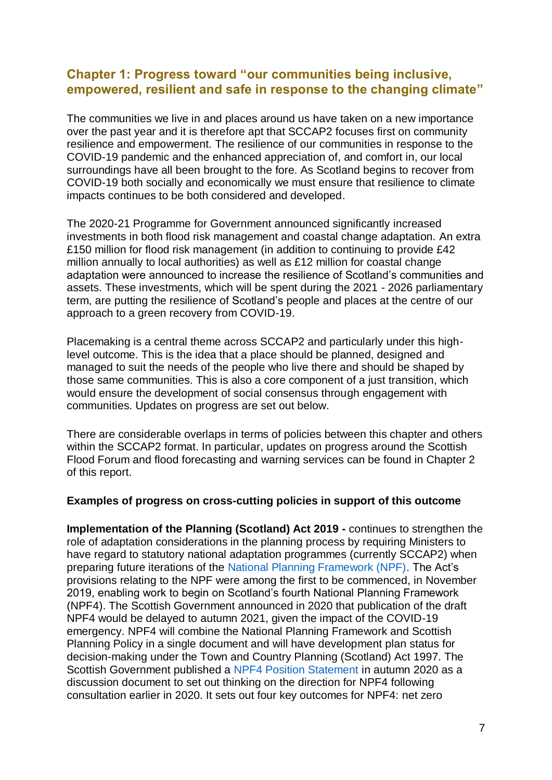# **Chapter 1: Progress toward "our communities being inclusive, empowered, resilient and safe in response to the changing climate"**

The communities we live in and places around us have taken on a new importance over the past year and it is therefore apt that SCCAP2 focuses first on community resilience and empowerment. The resilience of our communities in response to the COVID-19 pandemic and the enhanced appreciation of, and comfort in, our local surroundings have all been brought to the fore. As Scotland begins to recover from COVID-19 both socially and economically we must ensure that resilience to climate impacts continues to be both considered and developed.

The 2020-21 Programme for Government announced significantly increased investments in both flood risk management and coastal change adaptation. An extra £150 million for flood risk management (in addition to continuing to provide £42 million annually to local authorities) as well as £12 million for coastal change adaptation were announced to increase the resilience of Scotland's communities and assets. These investments, which will be spent during the 2021 - 2026 parliamentary term, are putting the resilience of Scotland's people and places at the centre of our approach to a green recovery from COVID-19.

Placemaking is a central theme across SCCAP2 and particularly under this highlevel outcome. This is the idea that a place should be planned, designed and managed to suit the needs of the people who live there and should be shaped by those same communities. This is also a core component of a just transition, which would ensure the development of social consensus through engagement with communities. Updates on progress are set out below.

There are considerable overlaps in terms of policies between this chapter and others within the SCCAP2 format. In particular, updates on progress around the Scottish Flood Forum and flood forecasting and warning services can be found in Chapter 2 of this report.

#### **Examples of progress on cross-cutting policies in support of this outcome**

**Implementation of the Planning (Scotland) Act 2019 -** continues to strengthen the role of adaptation considerations in the planning process by requiring Ministers to have regard to statutory national adaptation programmes (currently SCCAP2) when preparing future iterations of the [National Planning Framework \(NPF\).](http://www.transformingplanning.scot/) The Act's provisions relating to the NPF were among the first to be commenced, in November 2019, enabling work to begin on Scotland's fourth National Planning Framework (NPF4). The Scottish Government announced in 2020 that publication of the draft NPF4 would be delayed to autumn 2021, given the impact of the COVID-19 emergency. NPF4 will combine the National Planning Framework and Scottish Planning Policy in a single document and will have development plan status for decision-making under the Town and Country Planning (Scotland) Act 1997. The Scottish Government published a [NPF4 Position Statement](https://www.gov.scot/publications/scotlands-fourth-national-planning-framework-position-statement/) in autumn 2020 as a discussion document to set out thinking on the direction for NPF4 following consultation earlier in 2020. It sets out four key outcomes for NPF4: net zero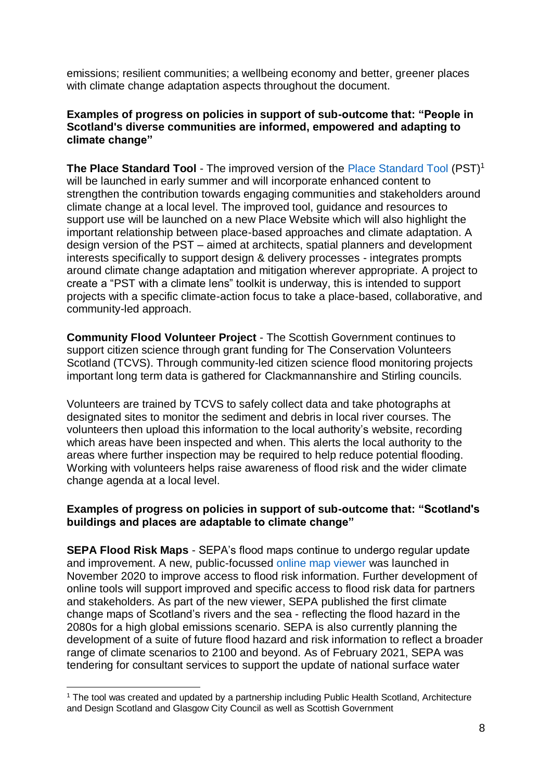emissions; resilient communities; a wellbeing economy and better, greener places with climate change adaptation aspects throughout the document.

#### **Examples of progress on policies in support of sub-outcome that: "People in Scotland's diverse communities are informed, empowered and adapting to climate change"**

**The [Place Standard Tool](http://www.placestandard.scot/) - The improved version of the Place Standard Tool (PST)<sup>1</sup>** will be launched in early summer and will incorporate enhanced content to strengthen the contribution towards engaging communities and stakeholders around climate change at a local level. The improved tool, guidance and resources to support use will be launched on a new Place Website which will also highlight the important relationship between place-based approaches and climate adaptation. A design version of the PST – aimed at architects, spatial planners and development interests specifically to support design & delivery processes - integrates prompts around climate change adaptation and mitigation wherever appropriate. A project to create a "PST with a climate lens" toolkit is underway, this is intended to support projects with a specific climate-action focus to take a place-based, collaborative, and community-led approach.

**Community Flood Volunteer Project** - The Scottish Government continues to support citizen science through grant funding for The Conservation Volunteers Scotland (TCVS). Through community-led citizen science flood monitoring projects important long term data is gathered for Clackmannanshire and Stirling councils.

Volunteers are trained by TCVS to safely collect data and take photographs at designated sites to monitor the sediment and debris in local river courses. The volunteers then upload this information to the local authority's website, recording which areas have been inspected and when. This alerts the local authority to the areas where further inspection may be required to help reduce potential flooding. Working with volunteers helps raise awareness of flood risk and the wider climate change agenda at a local level.

#### **Examples of progress on policies in support of sub-outcome that: "Scotland's buildings and places are adaptable to climate change"**

**SEPA Flood Risk Maps** - SEPA's flood maps continue to undergo regular update and improvement. A new, public-focussed [online map viewer](https://map.sepa.org.uk/floodmap/map.htm) was launched in November 2020 to improve access to flood risk information. Further development of online tools will support improved and specific access to flood risk data for partners and stakeholders. As part of the new viewer, SEPA published the first climate change maps of Scotland's rivers and the sea - reflecting the flood hazard in the 2080s for a high global emissions scenario. SEPA is also currently planning the development of a suite of future flood hazard and risk information to reflect a broader range of climate scenarios to 2100 and beyond. As of February 2021, SEPA was tendering for consultant services to support the update of national surface water

<sup>1</sup> <sup>1</sup> The tool was created and updated by a partnership including Public Health Scotland, Architecture and Design Scotland and Glasgow City Council as well as Scottish Government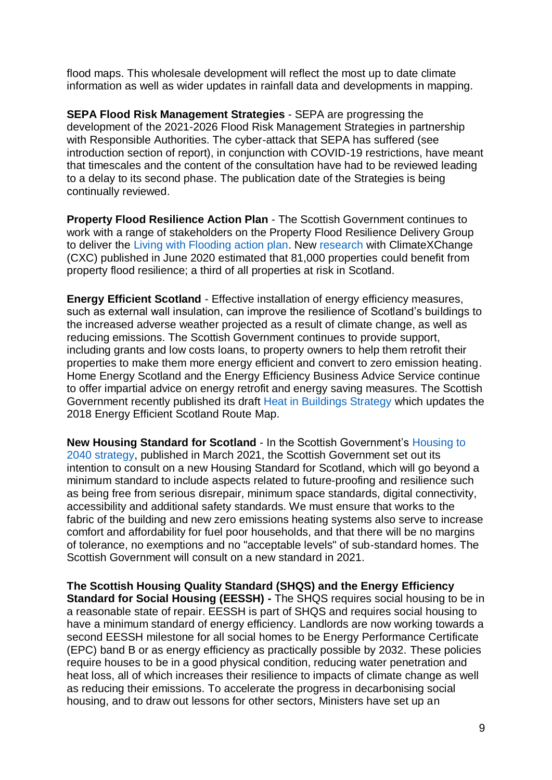flood maps. This wholesale development will reflect the most up to date climate information as well as wider updates in rainfall data and developments in mapping.

**SEPA Flood Risk Management Strategies** - SEPA are progressing the development of the 2021-2026 Flood Risk Management Strategies in partnership with Responsible Authorities. The cyber-attack that SEPA has suffered (see introduction section of report), in conjunction with COVID-19 restrictions, have meant that timescales and the content of the consultation have had to be reviewed leading to a delay to its second phase. The publication date of the Strategies is being continually reviewed.

**Property Flood Resilience Action Plan** - The Scottish Government continues to work with a range of stakeholders on the Property Flood Resilience Delivery Group to deliver the [Living with Flooding action plan.](https://www.gov.scot/publications/living-flooding-action-plan-delivering-property-flood-resilience-scotland/pages/6/) New [research](https://www.climatexchange.org.uk/media/4182/property-flood-resilience-scottish-baseline-study.pdf) with ClimateXChange (CXC) published in June 2020 estimated that 81,000 properties could benefit from property flood resilience; a third of all properties at risk in Scotland.

**Energy Efficient Scotland** - Effective installation of energy efficiency measures, such as external wall insulation, can improve the resilience of Scotland's buildings to the increased adverse weather projected as a result of climate change, as well as reducing emissions. The Scottish Government continues to provide support, including grants and low costs loans, to property owners to help them retrofit their properties to make them more energy efficient and convert to zero emission heating. Home Energy Scotland and the Energy Efficiency Business Advice Service continue to offer impartial advice on energy retrofit and energy saving measures. The Scottish Government recently published its draft [Heat in Buildings Strategy](https://www.gov.scot/publications/heat-buildings-strategy-achieving-net-zero-emissions-scotlands-buildings-consultation/pages/5/) which updates the 2018 Energy Efficient Scotland Route Map.

**New Housing Standard for Scotland** - In the Scottish Government's [Housing to](https://www.gov.scot/publications/housing-2040-2/)  [2040](https://www.gov.scot/publications/housing-2040-2/) strategy, published in March 2021, the Scottish Government set out its intention to consult on a new Housing Standard for Scotland, which will go beyond a minimum standard to include aspects related to future-proofing and resilience such as being free from serious disrepair, minimum space standards, digital connectivity, accessibility and additional safety standards. We must ensure that works to the fabric of the building and new zero emissions heating systems also serve to increase comfort and affordability for fuel poor households, and that there will be no margins of tolerance, no exemptions and no "acceptable levels" of sub-standard homes. The Scottish Government will consult on a new standard in 2021.

**The Scottish Housing Quality Standard (SHQS) and the Energy Efficiency Standard for Social Housing (EESSH) -** The SHQS requires social housing to be in a reasonable state of repair. EESSH is part of SHQS and requires social housing to have a minimum standard of energy efficiency. Landlords are now working towards a second EESSH milestone for all social homes to be Energy Performance Certificate (EPC) band B or as energy efficiency as practically possible by 2032. These policies require houses to be in a good physical condition, reducing water penetration and heat loss, all of which increases their resilience to impacts of climate change as well as reducing their emissions. To accelerate the progress in decarbonising social housing, and to draw out lessons for other sectors, Ministers have set up an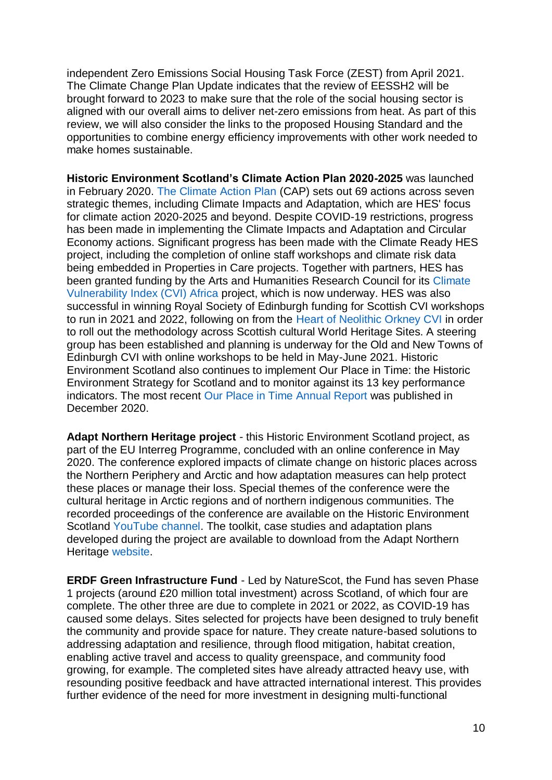independent Zero Emissions Social Housing Task Force (ZEST) from April 2021. The Climate Change Plan Update indicates that the review of EESSH2 will be brought forward to 2023 to make sure that the role of the social housing sector is aligned with our overall aims to deliver net-zero emissions from heat. As part of this review, we will also consider the links to the proposed Housing Standard and the opportunities to combine energy efficiency improvements with other work needed to make homes sustainable.

**Historic Environment Scotland's Climate Action Plan 2020-2025** was launched in February 2020. [The Climate Action Plan](https://www.historicenvironment.scot/about-us/what-we-do/climate-change/climate-action-plan/) (CAP) sets out 69 actions across seven strategic themes, including Climate Impacts and Adaptation, which are HES' focus for climate action 2020-2025 and beyond. Despite COVID-19 restrictions, progress has been made in implementing the Climate Impacts and Adaptation and Circular Economy actions. Significant progress has been made with the Climate Ready HES project, including the completion of online staff workshops and climate risk data being embedded in Properties in Care projects. Together with partners, HES has been granted funding by the Arts and Humanities Research Council for its [Climate](https://cvi-africa.org/)  [Vulnerability Index \(CVI\) Africa](https://cvi-africa.org/) project, which is now underway. HES was also successful in winning Royal Society of Edinburgh funding for Scottish CVI workshops to run in 2021 and 2022, following on from the [Heart of Neolithic Orkney CVI](https://www.historicenvironment.scot/archives-and-research/publications/publication/?publicationId=c6f3e971-bd95-457c-a91d-aa77009aec69) in order to roll out the methodology across Scottish cultural World Heritage Sites. A steering group has been established and planning is underway for the Old and New Towns of Edinburgh CVI with online workshops to be held in May-June 2021. Historic Environment Scotland also continues to implement Our Place in Time: the Historic Environment Strategy for Scotland and to monitor against its 13 key performance indicators. The most recent [Our Place in Time Annual Report](https://www.historicenvironment.scot/archives-and-research/publications/publication/?publicationId=5c1bbc6e-5d7e-4515-8e2e-a9ed009e1a6d) was published in December 2020.

**Adapt Northern Heritage project** - this Historic Environment Scotland project, as part of the EU Interreg Programme, concluded with an online conference in May 2020. The conference explored impacts of climate change on historic places across the Northern Periphery and Arctic and how adaptation measures can help protect these places or manage their loss. Special themes of the conference were the cultural heritage in Arctic regions and of northern indigenous communities. The recorded proceedings of the conference are available on the Historic Environment Scotland [YouTube channel.](https://youtube.com/playlist?list=PLjP3TtHXSFfWD-fODy2MKiFEMuPAujp3d) The toolkit, case studies and adaptation plans developed during the project are available to download from the Adapt Northern Heritage [website.](https://adaptnorthernheritage.interreg-npa.eu/)

**ERDF Green Infrastructure Fund** - Led by NatureScot, the Fund has seven Phase 1 projects (around £20 million total investment) across Scotland, of which four are complete. The other three are due to complete in 2021 or 2022, as COVID-19 has caused some delays. Sites selected for projects have been designed to truly benefit the community and provide space for nature. They create nature-based solutions to addressing adaptation and resilience, through flood mitigation, habitat creation, enabling active travel and access to quality greenspace, and community food growing, for example. The completed sites have already attracted heavy use, with resounding positive feedback and have attracted international interest. This provides further evidence of the need for more investment in designing multi-functional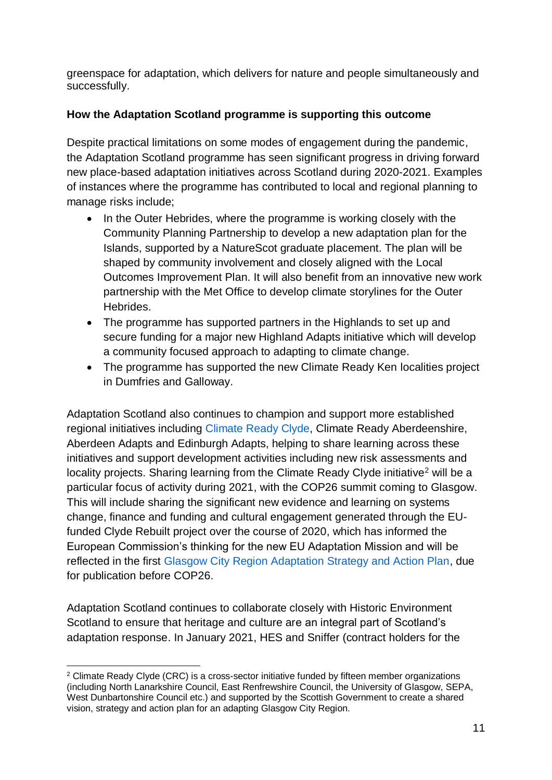greenspace for adaptation, which delivers for nature and people simultaneously and successfully.

## **How the Adaptation Scotland programme is supporting this outcome**

Despite practical limitations on some modes of engagement during the pandemic, the Adaptation Scotland programme has seen significant progress in driving forward new place-based adaptation initiatives across Scotland during 2020-2021. Examples of instances where the programme has contributed to local and regional planning to manage risks include;

- In the Outer Hebrides, where the programme is working closely with the Community Planning Partnership to develop a new adaptation plan for the Islands, supported by a NatureScot graduate placement. The plan will be shaped by community involvement and closely aligned with the Local Outcomes Improvement Plan. It will also benefit from an innovative new work partnership with the Met Office to develop climate storylines for the Outer Hebrides.
- The programme has supported partners in the Highlands to set up and secure funding for a major new Highland Adapts initiative which will develop a community focused approach to adapting to climate change.
- The programme has supported the new Climate Ready Ken localities project in Dumfries and Galloway.

Adaptation Scotland also continues to champion and support more established regional initiatives including [Climate Ready Clyde,](http://www.climatereadyclyde.org.uk/) Climate Ready Aberdeenshire, Aberdeen Adapts and Edinburgh Adapts, helping to share learning across these initiatives and support development activities including new risk assessments and locality projects. Sharing learning from the Climate Ready Clyde initiative<sup>2</sup> will be a particular focus of activity during 2021, with the COP26 summit coming to Glasgow. This will include sharing the significant new evidence and learning on systems change, finance and funding and cultural engagement generated through the EUfunded Clyde Rebuilt project over the course of 2020, which has informed the European Commission's thinking for the new EU Adaptation Mission and will be reflected in the first [Glasgow City Region Adaptation Strategy and Action Plan,](http://climatereadyclyde.org.uk/our-adaptation-strategy-and-action-plan-v2/) due for publication before COP26.

Adaptation Scotland continues to collaborate closely with Historic Environment Scotland to ensure that heritage and culture are an integral part of Scotland's adaptation response. In January 2021, HES and Sniffer (contract holders for the

<sup>&</sup>lt;u>.</u>  $2$  Climate Ready Clyde (CRC) is a cross-sector initiative funded by fifteen member organizations (including North Lanarkshire Council, East Renfrewshire Council, the University of Glasgow, SEPA, West Dunbartonshire Council etc.) and supported by the Scottish Government to create a shared vision, strategy and action plan for an adapting Glasgow City Region.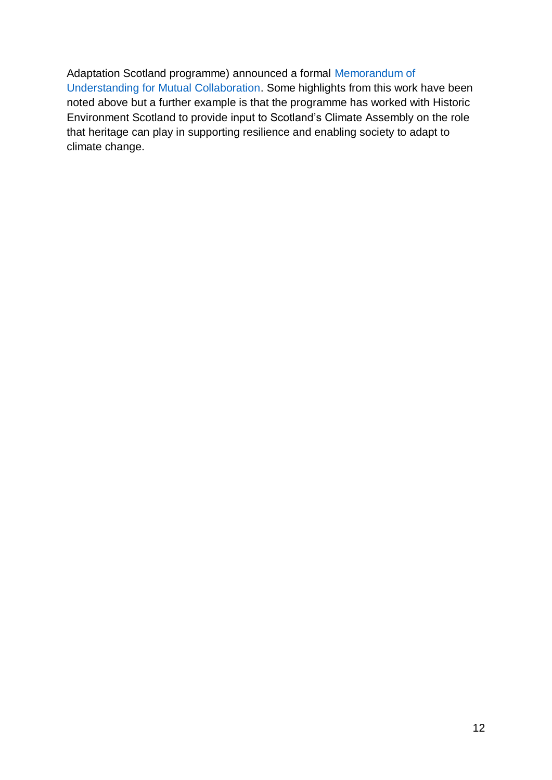Adaptation Scotland programme) announced a formal [Memorandum of](https://www.historicenvironment.scot/about-us/news/sniffer-and-hes-announce-exciting-collaboration/)  [Understanding for Mutual Collaboration.](https://www.historicenvironment.scot/about-us/news/sniffer-and-hes-announce-exciting-collaboration/) Some highlights from this work have been noted above but a further example is that the programme has worked with Historic Environment Scotland to provide input to Scotland's Climate Assembly on the role that heritage can play in supporting resilience and enabling society to adapt to climate change.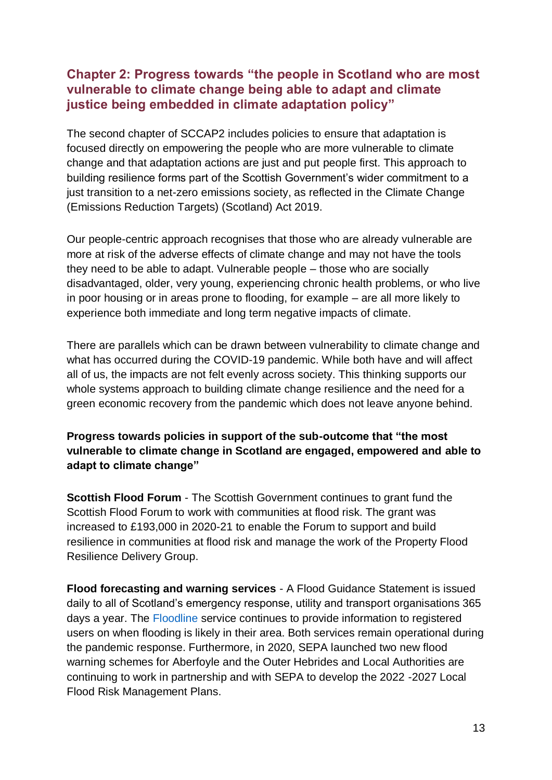# **Chapter 2: Progress towards "the people in Scotland who are most vulnerable to climate change being able to adapt and climate justice being embedded in climate adaptation policy"**

The second chapter of SCCAP2 includes policies to ensure that adaptation is focused directly on empowering the people who are more vulnerable to climate change and that adaptation actions are just and put people first. This approach to building resilience forms part of the Scottish Government's wider commitment to a just transition to a net-zero emissions society, as reflected in the Climate Change (Emissions Reduction Targets) (Scotland) Act 2019.

Our people-centric approach recognises that those who are already vulnerable are more at risk of the adverse effects of climate change and may not have the tools they need to be able to adapt. Vulnerable people – those who are socially disadvantaged, older, very young, experiencing chronic health problems, or who live in poor housing or in areas prone to flooding, for example – are all more likely to experience both immediate and long term negative impacts of climate.

There are parallels which can be drawn between vulnerability to climate change and what has occurred during the COVID-19 pandemic. While both have and will affect all of us, the impacts are not felt evenly across society. This thinking supports our whole systems approach to building climate change resilience and the need for a green economic recovery from the pandemic which does not leave anyone behind.

## **Progress towards policies in support of the sub-outcome that "the most vulnerable to climate change in Scotland are engaged, empowered and able to adapt to climate change"**

**Scottish Flood Forum** - The Scottish Government continues to grant fund the Scottish Flood Forum to work with communities at flood risk. The grant was increased to £193,000 in 2020-21 to enable the Forum to support and build resilience in communities at flood risk and manage the work of the Property Flood Resilience Delivery Group.

**Flood forecasting and warning services** - A Flood Guidance Statement is issued daily to all of Scotland's emergency response, utility and transport organisations 365 days a year. The [Floodline](https://www.floodlinescotland.org.uk/) service continues to provide information to registered users on when flooding is likely in their area. Both services remain operational during the pandemic response. Furthermore, in 2020, SEPA launched two new flood warning schemes for Aberfoyle and the Outer Hebrides and Local Authorities are continuing to work in partnership and with SEPA to develop the 2022 -2027 Local Flood Risk Management Plans.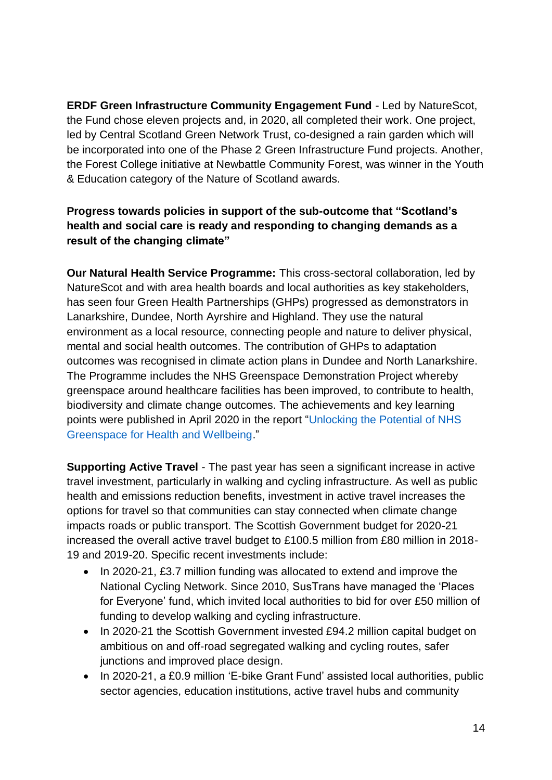**ERDF Green Infrastructure Community Engagement Fund** - Led by NatureScot, the Fund chose eleven projects and, in 2020, all completed their work. One project, led by Central Scotland Green Network Trust, co-designed a rain garden which will be incorporated into one of the Phase 2 Green Infrastructure Fund projects. Another, the Forest College initiative at Newbattle Community Forest, was winner in the Youth & Education category of the Nature of Scotland awards.

# **Progress towards policies in support of the sub-outcome that "Scotland's health and social care is ready and responding to changing demands as a result of the changing climate"**

**Our Natural Health Service Programme:** This cross-sectoral collaboration, led by NatureScot and with area health boards and local authorities as key stakeholders, has seen four Green Health Partnerships (GHPs) progressed as demonstrators in Lanarkshire, Dundee, North Ayrshire and Highland. They use the natural environment as a local resource, connecting people and nature to deliver physical, mental and social health outcomes. The contribution of GHPs to adaptation outcomes was recognised in climate action plans in Dundee and North Lanarkshire. The Programme includes the NHS Greenspace Demonstration Project whereby greenspace around healthcare facilities has been improved, to contribute to health, biodiversity and climate change outcomes. The achievements and key learning points were published in April 2020 in the report ["Unlocking the Potential of NHS](https://www.nature.scot/sites/default/files/2020-04/NHS%20Greenspace%20Demonstration%20Project%20-%20full%20report%202020.pdf)  [Greenspace for Health and Wellbeing.](https://www.nature.scot/sites/default/files/2020-04/NHS%20Greenspace%20Demonstration%20Project%20-%20full%20report%202020.pdf)"

**Supporting Active Travel** - The past year has seen a significant increase in active travel investment, particularly in walking and cycling infrastructure. As well as public health and emissions reduction benefits, investment in active travel increases the options for travel so that communities can stay connected when climate change impacts roads or public transport. The Scottish Government budget for 2020-21 increased the overall active travel budget to £100.5 million from £80 million in 2018- 19 and 2019-20. Specific recent investments include:

- In 2020-21, £3.7 million funding was allocated to extend and improve the National Cycling Network. Since 2010, SusTrans have managed the 'Places for Everyone' fund, which invited local authorities to bid for over £50 million of funding to develop walking and cycling infrastructure.
- In 2020-21 the Scottish Government invested £94.2 million capital budget on ambitious on and off-road segregated walking and cycling routes, safer junctions and improved place design.
- In 2020-21, a £0.9 million 'E-bike Grant Fund' assisted local authorities, public sector agencies, education institutions, active travel hubs and community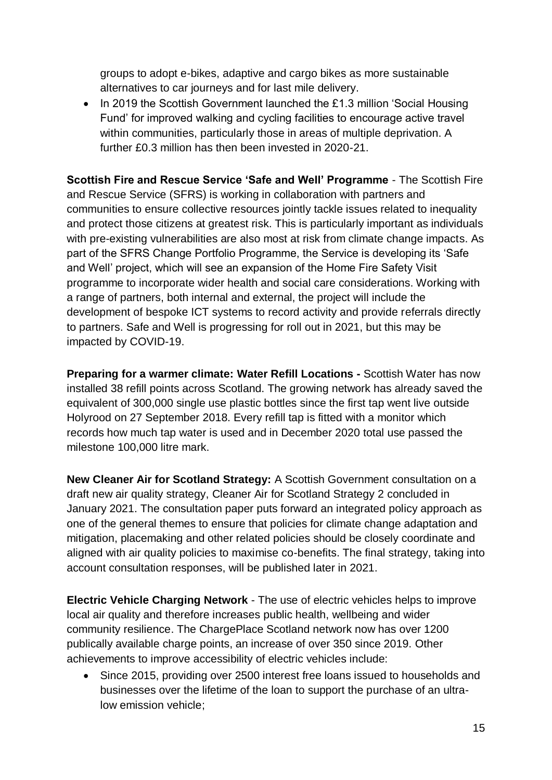groups to adopt e-bikes, adaptive and cargo bikes as more sustainable alternatives to car journeys and for last mile delivery.

• In 2019 the Scottish Government launched the £1.3 million 'Social Housing Fund' for improved walking and cycling facilities to encourage active travel within communities, particularly those in areas of multiple deprivation. A further £0.3 million has then been invested in 2020-21.

**Scottish Fire and Rescue Service 'Safe and Well' Programme** - The Scottish Fire and Rescue Service (SFRS) is working in collaboration with partners and communities to ensure collective resources jointly tackle issues related to inequality and protect those citizens at greatest risk. This is particularly important as individuals with pre-existing vulnerabilities are also most at risk from climate change impacts. As part of the SFRS Change Portfolio Programme, the Service is developing its 'Safe and Well' project, which will see an expansion of the Home Fire Safety Visit programme to incorporate wider health and social care considerations. Working with a range of partners, both internal and external, the project will include the development of bespoke ICT systems to record activity and provide referrals directly to partners. Safe and Well is progressing for roll out in 2021, but this may be impacted by COVID-19.

**Preparing for a warmer climate: Water Refill Locations -** Scottish Water has now installed 38 refill points across Scotland. The growing network has already saved the equivalent of 300,000 single use plastic bottles since the first tap went live outside Holyrood on 27 September 2018. Every refill tap is fitted with a monitor which records how much tap water is used and in December 2020 total use passed the milestone 100,000 litre mark.

**New Cleaner Air for Scotland Strategy:** A Scottish Government consultation on a draft new air quality strategy, Cleaner Air for Scotland Strategy 2 concluded in January 2021. The consultation paper puts forward an integrated policy approach as one of the general themes to ensure that policies for climate change adaptation and mitigation, placemaking and other related policies should be closely coordinate and aligned with air quality policies to maximise co-benefits. The final strategy, taking into account consultation responses, will be published later in 2021.

**Electric Vehicle Charging Network** - The use of electric vehicles helps to improve local air quality and therefore increases public health, wellbeing and wider community resilience. The ChargePlace Scotland network now has over 1200 publically available charge points, an increase of over 350 since 2019. Other achievements to improve accessibility of electric vehicles include:

• Since 2015, providing over 2500 interest free loans issued to households and businesses over the lifetime of the loan to support the purchase of an ultralow emission vehicle;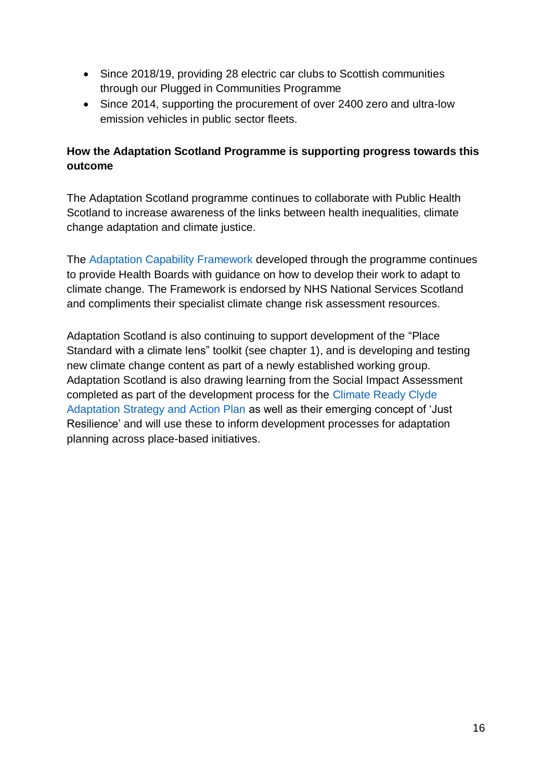- Since 2018/19, providing 28 electric car clubs to Scottish communities through our Plugged in Communities Programme
- Since 2014, supporting the procurement of over 2400 zero and ultra-low emission vehicles in public sector fleets.

## **How the Adaptation Scotland Programme is supporting progress towards this outcome**

The Adaptation Scotland programme continues to collaborate with Public Health Scotland to increase awareness of the links between health inequalities, climate change adaptation and climate justice.

The [Adaptation Capability Framework](https://www.adaptationscotland.org.uk/how-adapt/your-sector/public-sector/framework) developed through the programme continues to provide Health Boards with guidance on how to develop their work to adapt to climate change. The Framework is endorsed by NHS National Services Scotland and compliments their specialist climate change risk assessment resources.

Adaptation Scotland is also continuing to support development of the "Place Standard with a climate lens" toolkit (see chapter 1), and is developing and testing new climate change content as part of a newly established working group. Adaptation Scotland is also drawing learning from the Social Impact Assessment completed as part of the development process for the [Climate Ready Clyde](http://climatereadyclyde.org.uk/our-adaptation-strategy-and-action-plan-v2/)  [Adaptation Strategy and Action Plan](http://climatereadyclyde.org.uk/our-adaptation-strategy-and-action-plan-v2/) as well as their emerging concept of 'Just Resilience' and will use these to inform development processes for adaptation planning across place-based initiatives.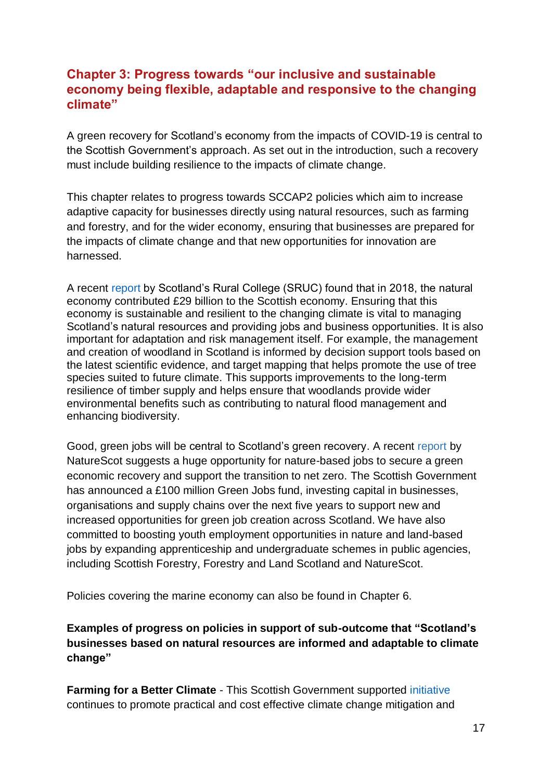# **Chapter 3: Progress towards "our inclusive and sustainable economy being flexible, adaptable and responsive to the changing climate"**

A green recovery for Scotland's economy from the impacts of COVID-19 is central to the Scottish Government's approach. As set out in the introduction, such a recovery must include building resilience to the impacts of climate change.

This chapter relates to progress towards SCCAP2 policies which aim to increase adaptive capacity for businesses directly using natural resources, such as farming and forestry, and for the wider economy, ensuring that businesses are prepared for the impacts of climate change and that new opportunities for innovation are harnessed.

A recent [report](https://www.sruc.ac.uk/downloads/file/4648/natural_economy_report_to_sruc_from_biggar_economics) by Scotland's Rural College (SRUC) found that in 2018, the natural economy contributed £29 billion to the Scottish economy. Ensuring that this economy is sustainable and resilient to the changing climate is vital to managing Scotland's natural resources and providing jobs and business opportunities. It is also important for adaptation and risk management itself. For example, the management and creation of woodland in Scotland is informed by decision support tools based on the latest scientific evidence, and target mapping that helps promote the use of tree species suited to future climate. This supports improvements to the long-term resilience of timber supply and helps ensure that woodlands provide wider environmental benefits such as contributing to natural flood management and enhancing biodiversity.

Good, green jobs will be central to Scotland's green recovery. A recent [report](https://www.nature.scot/huge-potential-nature-based-jobs-boost) by NatureScot suggests a huge opportunity for nature-based jobs to secure a green economic recovery and support the transition to net zero. The Scottish Government has announced a £100 million Green Jobs fund, investing capital in businesses, organisations and supply chains over the next five years to support new and increased opportunities for green job creation across Scotland. We have also committed to boosting youth employment opportunities in nature and land-based jobs by expanding apprenticeship and undergraduate schemes in public agencies, including Scottish Forestry, Forestry and Land Scotland and NatureScot.

Policies covering the marine economy can also be found in Chapter 6.

# **Examples of progress on policies in support of sub-outcome that "Scotland's businesses based on natural resources are informed and adaptable to climate change"**

**Farming for a Better Climate** - This Scottish Government supported [initiative](https://www.farmingforabetterclimate.org/) continues to promote practical and cost effective climate change mitigation and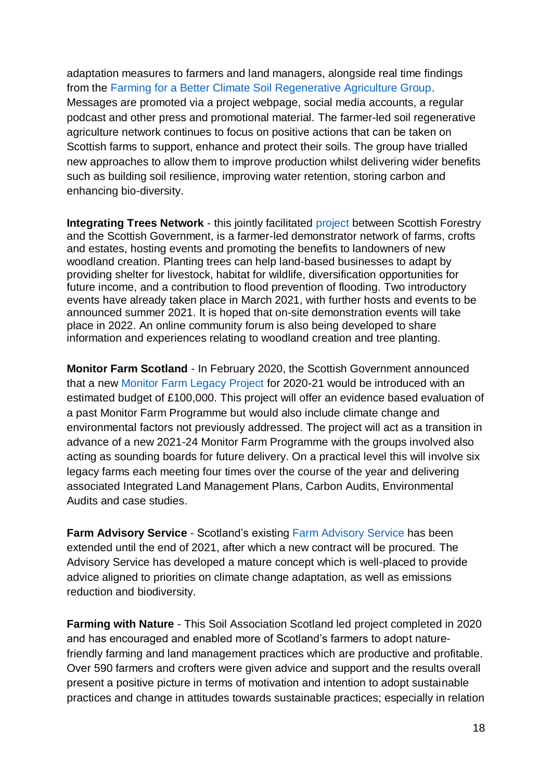adaptation measures to farmers and land managers, alongside real time findings from the [Farming for a Better Climate Soil Regenerative Agriculture Group.](https://www.farmingforabetterclimate.org/soil-regenerative-agriculture-group/) Messages are promoted via a project webpage, social media accounts, a regular podcast and other press and promotional material. The farmer-led soil regenerative agriculture network continues to focus on positive actions that can be taken on Scottish farms to support, enhance and protect their soils. The group have trialled new approaches to allow them to improve production whilst delivering wider benefits such as building soil resilience, improving water retention, storing carbon and enhancing bio-diversity.

**Integrating Trees Network** - this jointly facilitated **project** between Scottish Forestry and the Scottish Government, is a farmer-led demonstrator network of farms, crofts and estates, hosting events and promoting the benefits to landowners of new woodland creation. Planting trees can help land-based businesses to adapt by providing shelter for livestock, habitat for wildlife, diversification opportunities for future income, and a contribution to flood prevention of flooding. Two introductory events have already taken place in March 2021, with further hosts and events to be announced summer 2021. It is hoped that on-site demonstration events will take place in 2022. An online community forum is also being developed to share information and experiences relating to woodland creation and tree planting.

**Monitor Farm Scotland** - In February 2020, the Scottish Government announced that a new [Monitor Farm Legacy Project](https://www.monitorfarms.co.uk/introducing-the-legacy-monitor-farmers/) for 2020-21 would be introduced with an estimated budget of £100,000. This project will offer an evidence based evaluation of a past Monitor Farm Programme but would also include climate change and environmental factors not previously addressed. The project will act as a transition in advance of a new 2021-24 Monitor Farm Programme with the groups involved also acting as sounding boards for future delivery. On a practical level this will involve six legacy farms each meeting four times over the course of the year and delivering associated Integrated Land Management Plans, Carbon Audits, Environmental Audits and case studies.

**Farm Advisory Service** - Scotland's existing [Farm Advisory Service](https://www.fas.scot/) has been extended until the end of 2021, after which a new contract will be procured. The Advisory Service has developed a mature concept which is well-placed to provide advice aligned to priorities on climate change adaptation, as well as emissions reduction and biodiversity.

**Farming with Nature** - This Soil Association Scotland led project completed in 2020 and has encouraged and enabled more of Scotland's farmers to adopt naturefriendly farming and land management practices which are productive and profitable. Over 590 farmers and crofters were given advice and support and the results overall present a positive picture in terms of motivation and intention to adopt sustainable practices and change in attitudes towards sustainable practices; especially in relation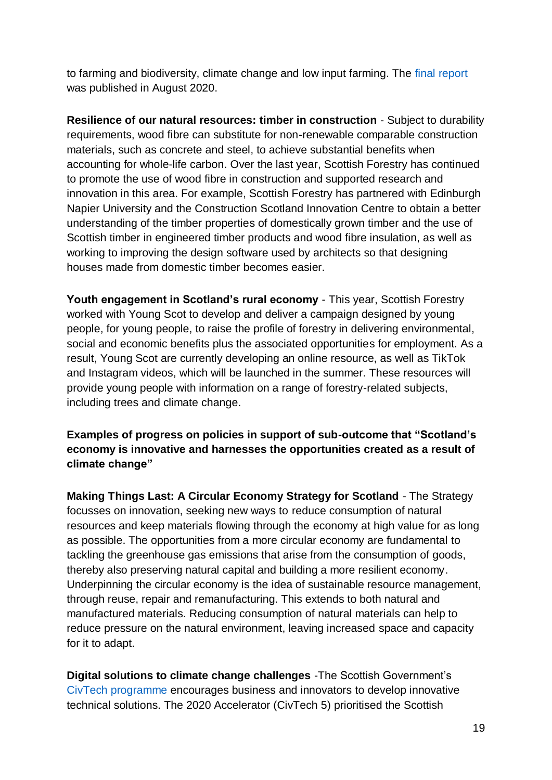to farming and biodiversity, climate change and low input farming. The [final report](https://www.fas.scot/downloads/soil-association-scotlands-farming-with-nature-knowledge-transfer-programme/) was published in August 2020.

**Resilience of our natural resources: timber in construction - Subject to durability** requirements, wood fibre can substitute for non-renewable comparable construction materials, such as concrete and steel, to achieve substantial benefits when accounting for whole-life carbon. Over the last year, Scottish Forestry has continued to promote the use of wood fibre in construction and supported research and innovation in this area. For example, Scottish Forestry has partnered with Edinburgh Napier University and the Construction Scotland Innovation Centre to obtain a better understanding of the timber properties of domestically grown timber and the use of Scottish timber in engineered timber products and wood fibre insulation, as well as working to improving the design software used by architects so that designing houses made from domestic timber becomes easier.

**Youth engagement in Scotland's rural economy** - This year, Scottish Forestry worked with Young Scot to develop and deliver a campaign designed by young people, for young people, to raise the profile of forestry in delivering environmental, social and economic benefits plus the associated opportunities for employment. As a result, Young Scot are currently developing an online resource, as well as TikTok and Instagram videos, which will be launched in the summer. These resources will provide young people with information on a range of forestry-related subjects, including trees and climate change.

**Examples of progress on policies in support of sub-outcome that "Scotland's economy is innovative and harnesses the opportunities created as a result of climate change"**

**Making Things Last: A Circular Economy Strategy for Scotland** - The Strategy focusses on innovation, seeking new ways to reduce consumption of natural resources and keep materials flowing through the economy at high value for as long as possible. The opportunities from a more circular economy are fundamental to tackling the greenhouse gas emissions that arise from the consumption of goods, thereby also preserving natural capital and building a more resilient economy. Underpinning the circular economy is the idea of sustainable resource management, through reuse, repair and remanufacturing. This extends to both natural and manufactured materials. Reducing consumption of natural materials can help to reduce pressure on the natural environment, leaving increased space and capacity for it to adapt.

**Digital solutions to climate change challenges** -The Scottish Government's [CivTech programme](https://www.civtechalliance.org/) encourages business and innovators to develop innovative technical solutions. The 2020 Accelerator (CivTech 5) prioritised the Scottish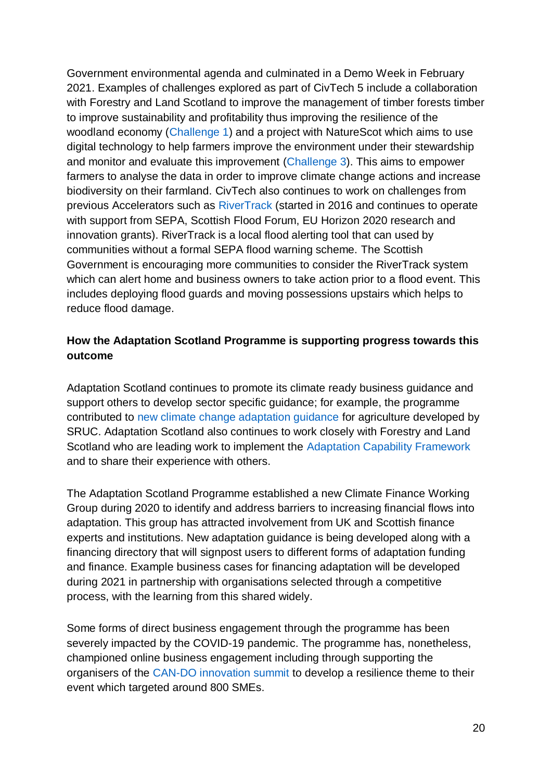Government environmental agenda and culminated in a Demo Week in February 2021. Examples of challenges explored as part of CivTech 5 include a collaboration with Forestry and Land Scotland to improve the management of timber forests timber to improve sustainability and profitability thus improving the resilience of the woodland economy [\(Challenge 1\)](https://www.civtechalliance.org/civtech-5-challenge-1-forestry-and-land-scotland) and a project with NatureScot which aims to use digital technology to help farmers improve the environment under their stewardship and monitor and evaluate this improvement [\(Challenge 3\)](https://www.civtechalliance.org/civtech-5-challenge-3-scottish-natural-heritage). This aims to empower farmers to analyse the data in order to improve climate change actions and increase biodiversity on their farmland. CivTech also continues to work on challenges from previous Accelerators such as [RiverTrack](http://www.rivertrack.org/) (started in 2016 and continues to operate with support from SEPA, Scottish Flood Forum, EU Horizon 2020 research and innovation grants). RiverTrack is a local flood alerting tool that can used by communities without a formal SEPA flood warning scheme. The Scottish Government is encouraging more communities to consider the RiverTrack system which can alert home and business owners to take action prior to a flood event. This includes deploying flood guards and moving possessions upstairs which helps to reduce flood damage.

### **How the Adaptation Scotland Programme is supporting progress towards this outcome**

Adaptation Scotland continues to promote its climate ready business guidance and support others to develop sector specific guidance; for example, the programme contributed to [new climate change adaptation guidance](https://www.farmingforabetterclimate.org/downloads/climate-change-adaptation-for-agriculture-is-your-farm-ready/) for agriculture developed by SRUC. Adaptation Scotland also continues to work closely with Forestry and Land Scotland who are leading work to implement the [Adaptation Capability Framework](https://www.adaptationscotland.org.uk/how-adapt/your-sector/public-sector/framework) and to share their experience with others.

The Adaptation Scotland Programme established a new Climate Finance Working Group during 2020 to identify and address barriers to increasing financial flows into adaptation. This group has attracted involvement from UK and Scottish finance experts and institutions. New adaptation guidance is being developed along with a financing directory that will signpost users to different forms of adaptation funding and finance. Example business cases for financing adaptation will be developed during 2021 in partnership with organisations selected through a competitive process, with the learning from this shared widely.

Some forms of direct business engagement through the programme has been severely impacted by the COVID-19 pandemic. The programme has, nonetheless, championed online business engagement including through supporting the organisers of the [CAN-DO innovation summit](https://www.candoinnovation.scot/) to develop a resilience theme to their event which targeted around 800 SMEs.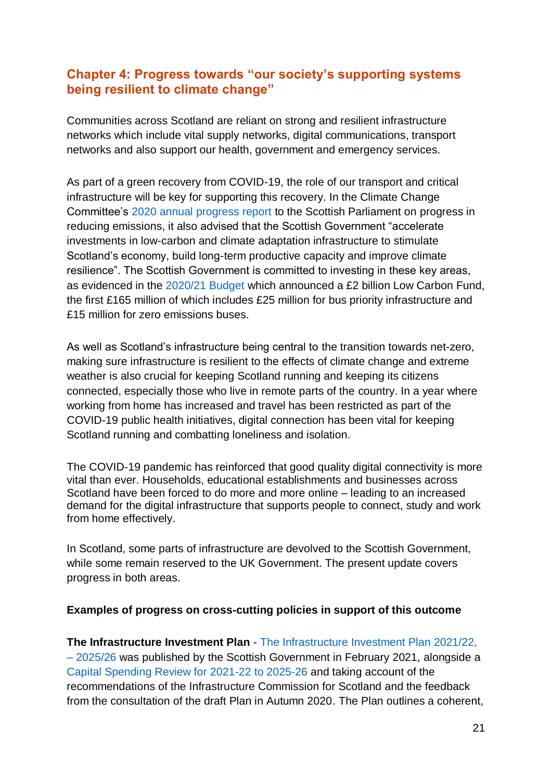# **Chapter 4: Progress towards "our society's supporting systems being resilient to climate change"**

Communities across Scotland are reliant on strong and resilient infrastructure networks which include vital supply networks, digital communications, transport networks and also support our health, government and emergency services.

As part of a green recovery from COVID-19, the role of our transport and critical infrastructure will be key for supporting this recovery. In the Climate Change Committee's [2020 annual progress report](https://www.theccc.org.uk/publication/reducing-emissions-in-scotland-2020-progress-report-to-parliament/) to the Scottish Parliament on progress in reducing emissions, it also advised that the Scottish Government "accelerate investments in low-carbon and climate adaptation infrastructure to stimulate Scotland's economy, build long-term productive capacity and improve climate resilience". The Scottish Government is committed to investing in these key areas, as evidenced in the [2020/21 Budget](https://www.gov.scot/publications/scottish-budget-2021-22/pages/1/) which announced a £2 billion Low Carbon Fund, the first £165 million of which includes £25 million for bus priority infrastructure and £15 million for zero emissions buses.

As well as Scotland's infrastructure being central to the transition towards net-zero, making sure infrastructure is resilient to the effects of climate change and extreme weather is also crucial for keeping Scotland running and keeping its citizens connected, especially those who live in remote parts of the country. In a year where working from home has increased and travel has been restricted as part of the COVID-19 public health initiatives, digital connection has been vital for keeping Scotland running and combatting loneliness and isolation.

The COVID-19 pandemic has reinforced that good quality digital connectivity is more vital than ever. Households, educational establishments and businesses across Scotland have been forced to do more and more online – leading to an increased demand for the digital infrastructure that supports people to connect, study and work from home effectively.

In Scotland, some parts of infrastructure are devolved to the Scottish Government, while some remain reserved to the UK Government. The present update covers progress in both areas.

#### **Examples of progress on cross-cutting policies in support of this outcome**

**The Infrastructure Investment Plan** - [The Infrastructure Investment Plan 2021/22,](https://www.gov.scot/publications/national-mission-local-impact-infrastructure-investment-plan-scotland-2021-22-2025-26)   $-2025/26$  $-2025/26$  was published by the Scottish Government in February 2021, alongside a [Capital Spending Review for 2021-22 to 2025-26](https://www.gov.scot/publications/investing-jobs-capital-spending-review-2021-22-2025-26/) and taking account of the recommendations of the Infrastructure Commission for Scotland and the feedback from the consultation of the draft Plan in Autumn 2020. The Plan outlines a coherent,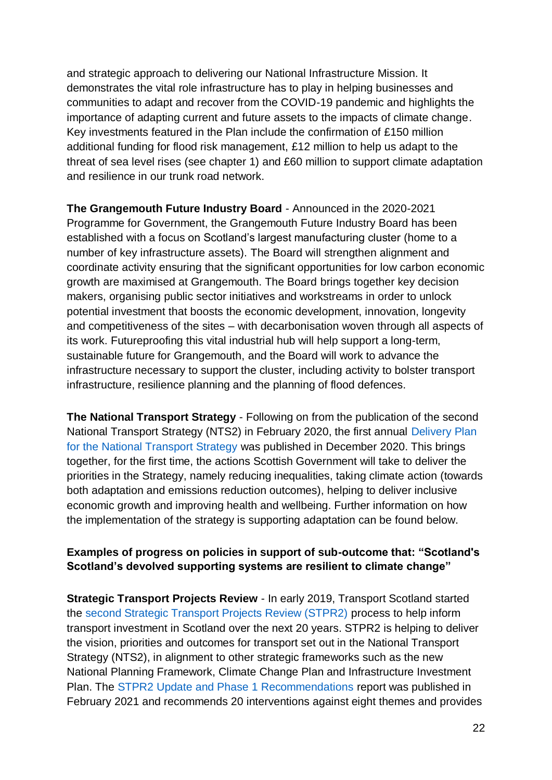and strategic approach to delivering our National Infrastructure Mission. It demonstrates the vital role infrastructure has to play in helping businesses and communities to adapt and recover from the COVID-19 pandemic and highlights the importance of adapting current and future assets to the impacts of climate change. Key investments featured in the Plan include the confirmation of £150 million additional funding for flood risk management, £12 million to help us adapt to the threat of sea level rises (see chapter 1) and £60 million to support climate adaptation and resilience in our trunk road network.

**The Grangemouth Future Industry Board** - Announced in the 2020-2021 Programme for Government, the Grangemouth Future Industry Board has been established with a focus on Scotland's largest manufacturing cluster (home to a number of key infrastructure assets). The Board will strengthen alignment and coordinate activity ensuring that the significant opportunities for low carbon economic growth are maximised at Grangemouth. The Board brings together key decision makers, organising public sector initiatives and workstreams in order to unlock potential investment that boosts the economic development, innovation, longevity and competitiveness of the sites – with decarbonisation woven through all aspects of its work. Futureproofing this vital industrial hub will help support a long-term, sustainable future for Grangemouth, and the Board will work to advance the infrastructure necessary to support the cluster, including activity to bolster transport infrastructure, resilience planning and the planning of flood defences.

**The National Transport Strategy** - Following on from the publication of the second National Transport Strategy (NTS2) in February 2020, the first annual [Delivery Plan](https://www.transport.gov.scot/publication/national-transport-strategy-nts2-delivery-plan-2020-to-2022/)  [for the National Transport Strategy](https://www.transport.gov.scot/publication/national-transport-strategy-nts2-delivery-plan-2020-to-2022/) was published in December 2020. This brings together, for the first time, the actions Scottish Government will take to deliver the priorities in the Strategy, namely reducing inequalities, taking climate action (towards both adaptation and emissions reduction outcomes), helping to deliver inclusive economic growth and improving health and wellbeing. Further information on how the implementation of the strategy is supporting adaptation can be found below.

#### **Examples of progress on policies in support of sub-outcome that: "Scotland's Scotland's devolved supporting systems are resilient to climate change"**

**Strategic Transport Projects Review - In early 2019, Transport Scotland started** the [second Strategic Transport Projects Review \(STPR2\)](https://www.transport.gov.scot/our-approach/strategy/strategic-transport-projects-review-2/) process to help inform transport investment in Scotland over the next 20 years. STPR2 is helping to deliver the vision, priorities and outcomes for transport set out in the National Transport Strategy (NTS2), in alignment to other strategic frameworks such as the new National Planning Framework, Climate Change Plan and Infrastructure Investment Plan. The [STPR2 Update and Phase 1 Recommendations](https://www.transport.gov.scot/media/49098/stpr2-update-and-phase-1-3-feb-2021.pdf) report was published in February 2021 and recommends 20 interventions against eight themes and provides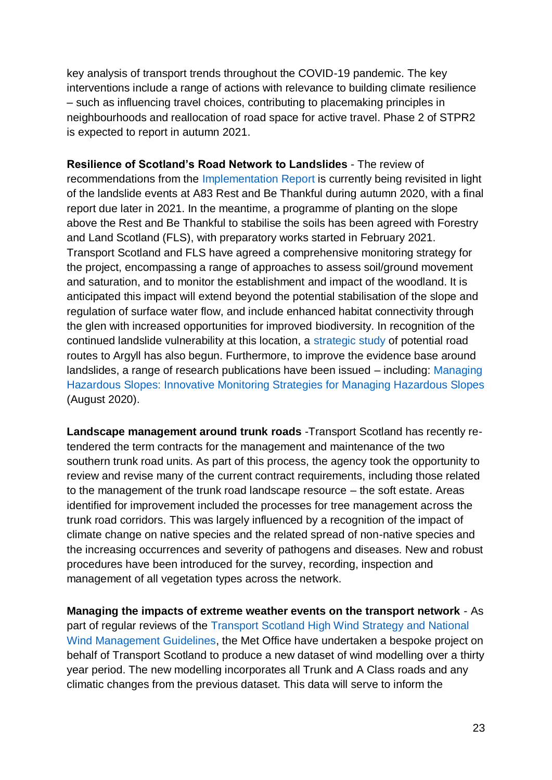key analysis of transport trends throughout the COVID-19 pandemic. The key interventions include a range of actions with relevance to building climate resilience – such as influencing travel choices, contributing to placemaking principles in neighbourhoods and reallocation of road space for active travel. Phase 2 of STPR2 is expected to report in autumn 2021.

**Resilience of Scotland's Road Network to Landslides** - The review of recommendations from the [Implementation Report](https://www.transport.gov.scot/publication/scottish-road-network-landslides-study-implementation-summary-report/) is currently being revisited in light of the landslide events at A83 Rest and Be Thankful during autumn 2020, with a final report due later in 2021. In the meantime, a programme of planting on the slope above the Rest and Be Thankful to stabilise the soils has been agreed with Forestry and Land Scotland (FLS), with preparatory works started in February 2021. Transport Scotland and FLS have agreed a comprehensive monitoring strategy for the project, encompassing a range of approaches to assess soil/ground movement and saturation, and to monitor the establishment and impact of the woodland. It is anticipated this impact will extend beyond the potential stabilisation of the slope and regulation of surface water flow, and include enhanced habitat connectivity through the glen with increased opportunities for improved biodiversity. In recognition of the continued landslide vulnerability at this location, a [strategic study](https://www.transport.gov.scot/projects/a83-access-to-argyll-and-bute/project-details) of potential road routes to Argyll has also begun. Furthermore, to improve the evidence base around landslides, a range of research publications have been issued – including: [Managing](https://trl.co.uk/publications/innovative-monitoring-strategies-for-managing-hazardous-slopes)  Hazardous [Slopes: Innovative Monitoring Strategies for Managing Hazardous Slopes](https://trl.co.uk/publications/innovative-monitoring-strategies-for-managing-hazardous-slopes) (August 2020).

**Landscape management around trunk roads** -Transport Scotland has recently retendered the term contracts for the management and maintenance of the two southern trunk road units. As part of this process, the agency took the opportunity to review and revise many of the current contract requirements, including those related to the management of the trunk road landscape resource – the soft estate. Areas identified for improvement included the processes for tree management across the trunk road corridors. This was largely influenced by a recognition of the impact of climate change on native species and the related spread of non-native species and the increasing occurrences and severity of pathogens and diseases. New and robust procedures have been introduced for the survey, recording, inspection and management of all vegetation types across the network.

**Managing the impacts of extreme weather events on the transport network** - As part of regular reviews of the [Transport Scotland High Wind Strategy and National](https://www.transport.gov.scot/media/25393/j10783.pdf)  [Wind Management Guidelines,](https://www.transport.gov.scot/media/25393/j10783.pdf) the Met Office have undertaken a bespoke project on behalf of Transport Scotland to produce a new dataset of wind modelling over a thirty year period. The new modelling incorporates all Trunk and A Class roads and any climatic changes from the previous dataset. This data will serve to inform the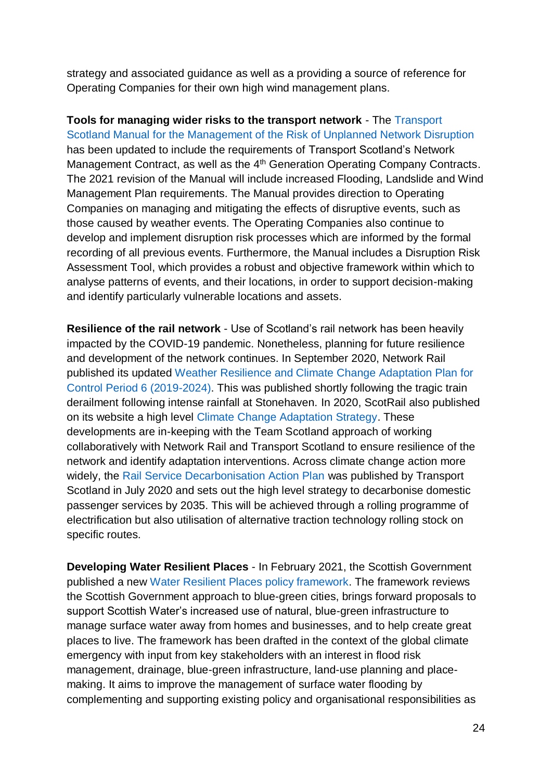strategy and associated guidance as well as a providing a source of reference for Operating Companies for their own high wind management plans.

**Tools for managing wider risks to the transport network** - The [Transport](https://www.transport.gov.scot/publication/road-asset-management-plan-for-scottish-trunk-roads-january-2016/j408891-11/#:~:text=The%20Transport%20Scotland%20Manual%20for,those%20caused%20by%20weather%20events.)  [Scotland Manual for the Management of the Risk of Unplanned Network Disruption](https://www.transport.gov.scot/publication/road-asset-management-plan-for-scottish-trunk-roads-january-2016/j408891-11/#:~:text=The%20Transport%20Scotland%20Manual%20for,those%20caused%20by%20weather%20events.) has been updated to include the requirements of Transport Scotland's Network Management Contract, as well as the 4<sup>th</sup> Generation Operating Company Contracts. The 2021 revision of the Manual will include increased Flooding, Landslide and Wind Management Plan requirements. The Manual provides direction to Operating Companies on managing and mitigating the effects of disruptive events, such as those caused by weather events. The Operating Companies also continue to develop and implement disruption risk processes which are informed by the formal recording of all previous events. Furthermore, the Manual includes a Disruption Risk Assessment Tool, which provides a robust and objective framework within which to analyse patterns of events, and their locations, in order to support decision-making and identify particularly vulnerable locations and assets.

**Resilience of the rail network** - Use of Scotland's rail network has been heavily impacted by the COVID-19 pandemic. Nonetheless, planning for future resilience and development of the network continues. In September 2020, Network Rail published its updated [Weather Resilience and Climate Change Adaptation Plan for](https://www.networkrail.co.uk/wp-content/uploads/2020/10/Scotlands-Railway-WRCCA-Plan-2020-CP6.pdf)  [Control Period 6 \(2019-2024\).](https://www.networkrail.co.uk/wp-content/uploads/2020/10/Scotlands-Railway-WRCCA-Plan-2020-CP6.pdf) This was published shortly following the tragic train derailment following intense rainfall at Stonehaven. In 2020, ScotRail also published on its website a high level [Climate Change Adaptation Strategy.](https://www.scotrail.co.uk/about-scotrail/environment/scotrail-climate-change-adaptation-strategy) These developments are in-keeping with the Team Scotland approach of working collaboratively with Network Rail and Transport Scotland to ensure resilience of the network and identify adaptation interventions. Across climate change action more widely, the [Rail Service Decarbonisation Action Plan](https://www.transport.gov.scot/media/47906/rail-services-decarbonisation-action-plan.pdf) was published by Transport Scotland in July 2020 and sets out the high level strategy to decarbonise domestic passenger services by 2035. This will be achieved through a rolling programme of electrification but also utilisation of alternative traction technology rolling stock on specific routes.

**Developing Water Resilient Places** - In February 2021, the Scottish Government published a new [Water Resilient Places policy framework.](https://www.gov.scot/binaries/content/documents/govscot/publications/advice-and-guidance/2021/02/water-resilient-places-policy-framework-surface-water-management-blue-green-infrastructure/documents/water-resilient-places-policy-framework-surface-water-management-blue-green-infrastructure/water-resilient-places-policy-framework-surface-water-management-blue-green-infrastructure/govscot%3Adocument/water-resilient-places-policy-framework-surface-water-management-blue-green-infrastructure.pdf) The framework reviews the Scottish Government approach to blue-green cities, brings forward proposals to support Scottish Water's increased use of natural, blue-green infrastructure to manage surface water away from homes and businesses, and to help create great places to live. The framework has been drafted in the context of the global climate emergency with input from key stakeholders with an interest in flood risk management, drainage, blue-green infrastructure, land-use planning and placemaking. It aims to improve the management of surface water flooding by complementing and supporting existing policy and organisational responsibilities as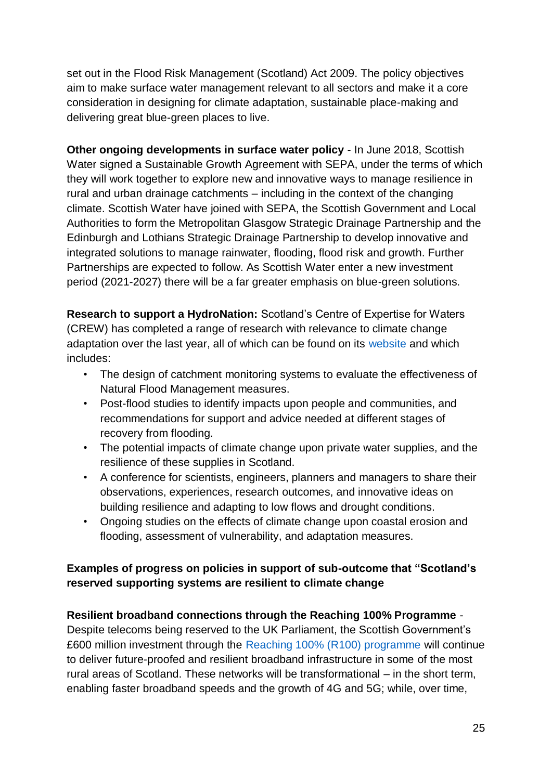set out in the Flood Risk Management (Scotland) Act 2009. The policy objectives aim to make surface water management relevant to all sectors and make it a core consideration in designing for climate adaptation, sustainable place-making and delivering great blue-green places to live.

**Other ongoing developments in surface water policy** - In June 2018, Scottish Water signed a Sustainable Growth Agreement with SEPA, under the terms of which they will work together to explore new and innovative ways to manage resilience in rural and urban drainage catchments – including in the context of the changing climate. Scottish Water have joined with SEPA, the Scottish Government and Local Authorities to form the Metropolitan Glasgow Strategic Drainage Partnership and the Edinburgh and Lothians Strategic Drainage Partnership to develop innovative and integrated solutions to manage rainwater, flooding, flood risk and growth. Further Partnerships are expected to follow. As Scottish Water enter a new investment period (2021-2027) there will be a far greater emphasis on blue-green solutions.

**Research to support a HydroNation:** Scotland's Centre of Expertise for Waters (CREW) has completed a range of research with relevance to climate change adaptation over the last year, all of which can be found on its [website](https://www.crew.ac.uk/publications) and which includes:

- The design of catchment monitoring systems to evaluate the effectiveness of Natural Flood Management measures.
- Post-flood studies to identify impacts upon people and communities, and recommendations for support and advice needed at different stages of recovery from flooding.
- The potential impacts of climate change upon private water supplies, and the resilience of these supplies in Scotland.
- A conference for scientists, engineers, planners and managers to share their observations, experiences, research outcomes, and innovative ideas on building resilience and adapting to low flows and drought conditions.
- Ongoing studies on the effects of climate change upon coastal erosion and flooding, assessment of vulnerability, and adaptation measures.

## **Examples of progress on policies in support of sub-outcome that "Scotland's reserved supporting systems are resilient to climate change**

# **Resilient broadband connections through the Reaching 100% Programme** -

Despite telecoms being reserved to the UK Parliament, the Scottish Government's £600 million investment through the [Reaching 100% \(R100\) programme](https://www.gov.scot/publications/reaching-100-superfast-broadband/) will continue to deliver future-proofed and resilient broadband infrastructure in some of the most rural areas of Scotland. These networks will be transformational – in the short term, enabling faster broadband speeds and the growth of 4G and 5G; while, over time,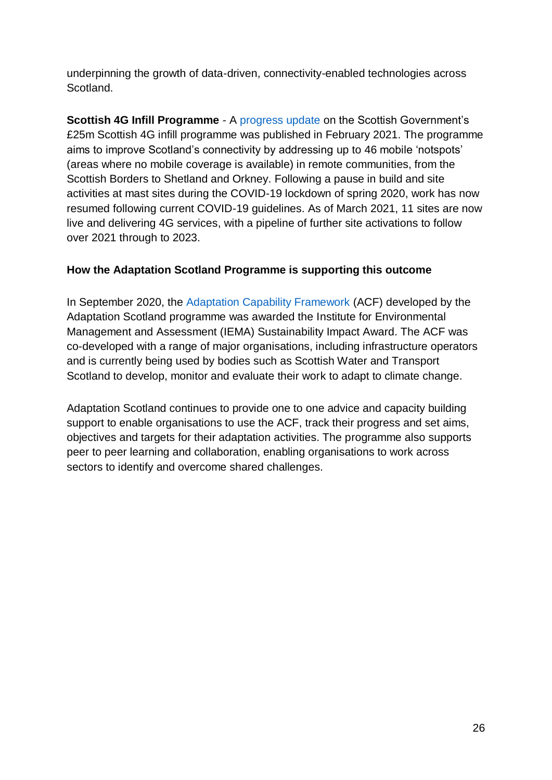underpinning the growth of data-driven, connectivity-enabled technologies across Scotland.

**Scottish 4G Infill Programme** - A [progress update](https://www.gov.scot/publications/scottish-4g-infill-programme-progress-update/) on the Scottish Government's £25m Scottish 4G infill programme was published in February 2021. The programme aims to improve Scotland's connectivity by addressing up to 46 mobile 'notspots' (areas where no mobile coverage is available) in remote communities, from the Scottish Borders to Shetland and Orkney. Following a pause in build and site activities at mast sites during the COVID-19 lockdown of spring 2020, work has now resumed following current COVID-19 guidelines. As of March 2021, 11 sites are now live and delivering 4G services, with a pipeline of further site activations to follow over 2021 through to 2023.

## **How the Adaptation Scotland Programme is supporting this outcome**

In September 2020, the [Adaptation Capability Framework](https://www.adaptationscotland.org.uk/how-adapt/your-sector/public-sector/framework) (ACF) developed by the Adaptation Scotland programme was awarded the Institute for Environmental Management and Assessment (IEMA) Sustainability Impact Award. The ACF was co-developed with a range of major organisations, including infrastructure operators and is currently being used by bodies such as Scottish Water and Transport Scotland to develop, monitor and evaluate their work to adapt to climate change.

Adaptation Scotland continues to provide one to one advice and capacity building support to enable organisations to use the ACF, track their progress and set aims, objectives and targets for their adaptation activities. The programme also supports peer to peer learning and collaboration, enabling organisations to work across sectors to identify and overcome shared challenges.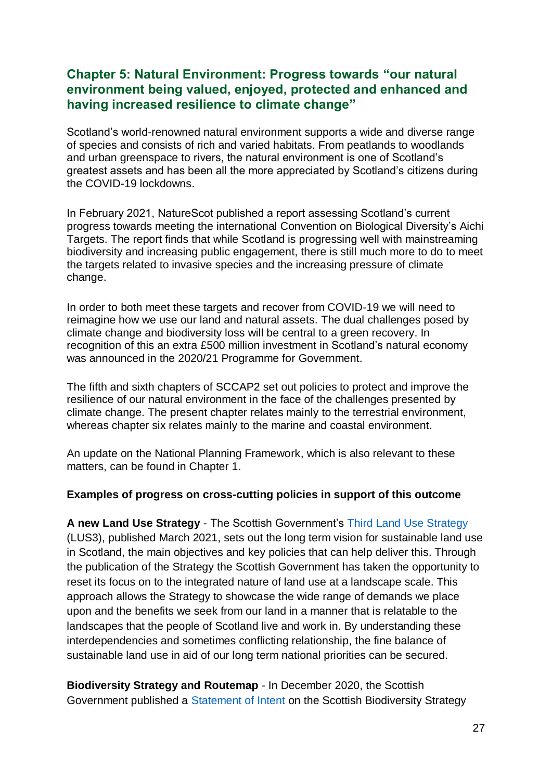# **Chapter 5: Natural Environment: Progress towards "our natural environment being valued, enjoyed, protected and enhanced and having increased resilience to climate change"**

Scotland's world-renowned natural environment supports a wide and diverse range of species and consists of rich and varied habitats. From peatlands to woodlands and urban greenspace to rivers, the natural environment is one of Scotland's greatest assets and has been all the more appreciated by Scotland's citizens during the COVID-19 lockdowns.

In February 2021, NatureScot published a report assessing Scotland's current progress towards meeting the international Convention on Biological Diversity's Aichi Targets. The report finds that while Scotland is progressing well with mainstreaming biodiversity and increasing public engagement, there is still much more to do to meet the targets related to invasive species and the increasing pressure of climate change.

In order to both meet these targets and recover from COVID-19 we will need to reimagine how we use our land and natural assets. The dual challenges posed by climate change and biodiversity loss will be central to a green recovery. In recognition of this an extra £500 million investment in Scotland's natural economy was announced in the 2020/21 Programme for Government.

The fifth and sixth chapters of SCCAP2 set out policies to protect and improve the resilience of our natural environment in the face of the challenges presented by climate change. The present chapter relates mainly to the terrestrial environment, whereas chapter six relates mainly to the marine and coastal environment.

An update on the National Planning Framework, which is also relevant to these matters, can be found in Chapter 1.

#### **Examples of progress on cross-cutting policies in support of this outcome**

**A new Land Use Strategy** - The Scottish Government's [Third Land Use Strategy](https://www.gov.scot/publications/scotlands-third-land-use-strategy-2021-2026-getting-best-land/) (LUS3), published March 2021, sets out the long term vision for sustainable land use in Scotland, the main objectives and key policies that can help deliver this. Through the publication of the Strategy the Scottish Government has taken the opportunity to reset its focus on to the integrated nature of land use at a landscape scale. This approach allows the Strategy to showcase the wide range of demands we place upon and the benefits we seek from our land in a manner that is relatable to the landscapes that the people of Scotland live and work in. By understanding these interdependencies and sometimes conflicting relationship, the fine balance of sustainable land use in aid of our long term national priorities can be secured.

**Biodiversity Strategy and Routemap** - In December 2020, the Scottish Government published a [Statement of Intent](https://www.gov.scot/publications/scottish-biodiversity-strategy-post-2020-statement-intent/) on the Scottish Biodiversity Strategy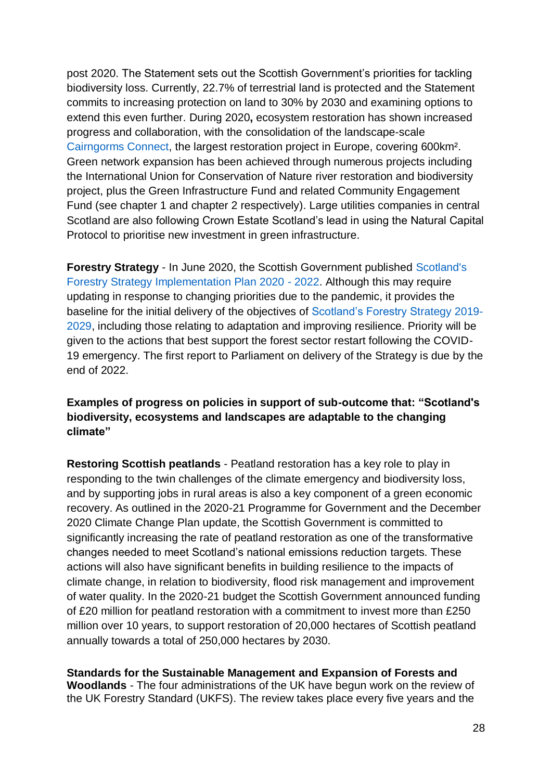post 2020. The Statement sets out the Scottish Government's priorities for tackling biodiversity loss. Currently, 22.7% of terrestrial land is protected and the Statement commits to increasing protection on land to 30% by 2030 and examining options to extend this even further. During 2020**,** ecosystem restoration has shown increased progress and collaboration, with the consolidation of the landscape-scale [Cairngorms Connect,](http://www.cairngormsconnect.org.uk/) the largest restoration project in Europe, covering 600km². Green network expansion has been achieved through numerous projects including the International Union for Conservation of Nature river restoration and biodiversity project, plus the Green Infrastructure Fund and related Community Engagement Fund (see chapter 1 and chapter 2 respectively). Large utilities companies in central Scotland are also following Crown Estate Scotland's lead in using the Natural Capital Protocol to prioritise new investment in green infrastructure.

**Forestry Strategy** - In June 2020, the Scottish Government published [Scotland's](https://forestry.gov.scot/publications/793-scotland-s-forestry-strategy-implementation-plan-2020-2022/viewdocument)  [Forestry Strategy Implementation Plan 2020 -](https://forestry.gov.scot/publications/793-scotland-s-forestry-strategy-implementation-plan-2020-2022/viewdocument) 2022. Although this may require updating in response to changing priorities due to the pandemic, it provides the baseline for the initial delivery of the objectives of [Scotland's Forestry Strategy 2019-](https://forestry.gov.scot/publications/373-scotland-s-forestry-strategy-2019-2029/viewdocument) [2029,](https://forestry.gov.scot/publications/373-scotland-s-forestry-strategy-2019-2029/viewdocument) including those relating to adaptation and improving resilience. Priority will be given to the actions that best support the forest sector restart following the COVID-19 emergency. The first report to Parliament on delivery of the Strategy is due by the end of 2022.

#### **Examples of progress on policies in support of sub-outcome that: "Scotland's biodiversity, ecosystems and landscapes are adaptable to the changing climate"**

**Restoring Scottish peatlands** - Peatland restoration has a key role to play in responding to the twin challenges of the climate emergency and biodiversity loss, and by supporting jobs in rural areas is also a key component of a green economic recovery. As outlined in the 2020-21 Programme for Government and the December 2020 Climate Change Plan update, the Scottish Government is committed to significantly increasing the rate of peatland restoration as one of the transformative changes needed to meet Scotland's national emissions reduction targets. These actions will also have significant benefits in building resilience to the impacts of climate change, in relation to biodiversity, flood risk management and improvement of water quality. In the 2020-21 budget the Scottish Government announced funding of £20 million for peatland restoration with a commitment to invest more than £250 million over 10 years, to support restoration of 20,000 hectares of Scottish peatland annually towards a total of 250,000 hectares by 2030.

**Standards for the Sustainable Management and Expansion of Forests and Woodlands** - The four administrations of the UK have begun work on the review of the UK Forestry Standard (UKFS). The review takes place every five years and the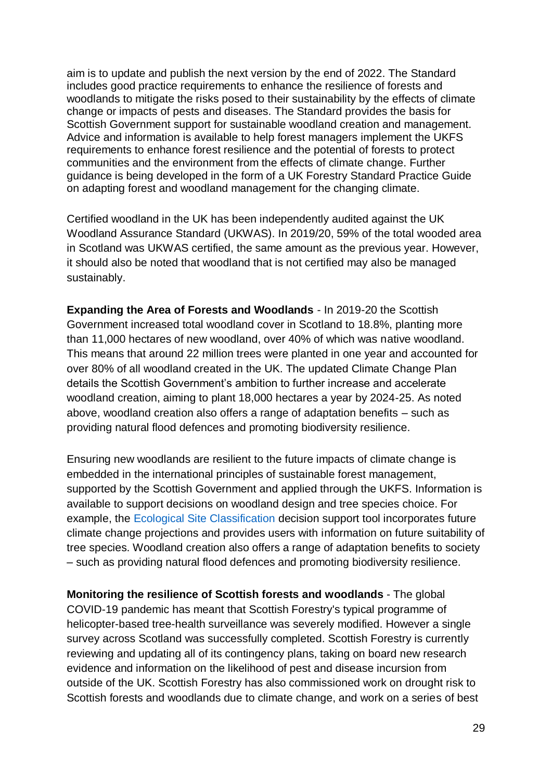aim is to update and publish the next version by the end of 2022. The Standard includes good practice requirements to enhance the resilience of forests and woodlands to mitigate the risks posed to their sustainability by the effects of climate change or impacts of pests and diseases. The Standard provides the basis for Scottish Government support for sustainable woodland creation and management. Advice and information is available to help forest managers implement the UKFS requirements to enhance forest resilience and the potential of forests to protect communities and the environment from the effects of climate change. Further guidance is being developed in the form of a UK Forestry Standard Practice Guide on adapting forest and woodland management for the changing climate.

Certified woodland in the UK has been independently audited against the UK Woodland Assurance Standard (UKWAS). In 2019/20, 59% of the total wooded area in Scotland was UKWAS certified, the same amount as the previous year. However, it should also be noted that woodland that is not certified may also be managed sustainably.

**Expanding the Area of Forests and Woodlands** - In 2019-20 the Scottish Government increased total woodland cover in Scotland to 18.8%, planting more than 11,000 hectares of new woodland, over 40% of which was native woodland. This means that around 22 million trees were planted in one year and accounted for over 80% of all woodland created in the UK. The updated Climate Change Plan details the Scottish Government's ambition to further increase and accelerate woodland creation, aiming to plant 18,000 hectares a year by 2024-25. As noted above, woodland creation also offers a range of adaptation benefits – such as providing natural flood defences and promoting biodiversity resilience.

Ensuring new woodlands are resilient to the future impacts of climate change is embedded in the international principles of sustainable forest management, supported by the Scottish Government and applied through the UKFS. Information is available to support decisions on woodland design and tree species choice. For example, the [Ecological Site Classification](http://www.forestdss.org.uk/geoforestdss/) decision support tool incorporates future climate change projections and provides users with information on future suitability of tree species. Woodland creation also offers a range of adaptation benefits to society – such as providing natural flood defences and promoting biodiversity resilience.

**Monitoring the resilience of Scottish forests and woodlands** - The global COVID-19 pandemic has meant that Scottish Forestry's typical programme of helicopter-based tree-health surveillance was severely modified. However a single survey across Scotland was successfully completed. Scottish Forestry is currently reviewing and updating all of its contingency plans, taking on board new research evidence and information on the likelihood of pest and disease incursion from outside of the UK. Scottish Forestry has also commissioned work on drought risk to Scottish forests and woodlands due to climate change, and work on a series of best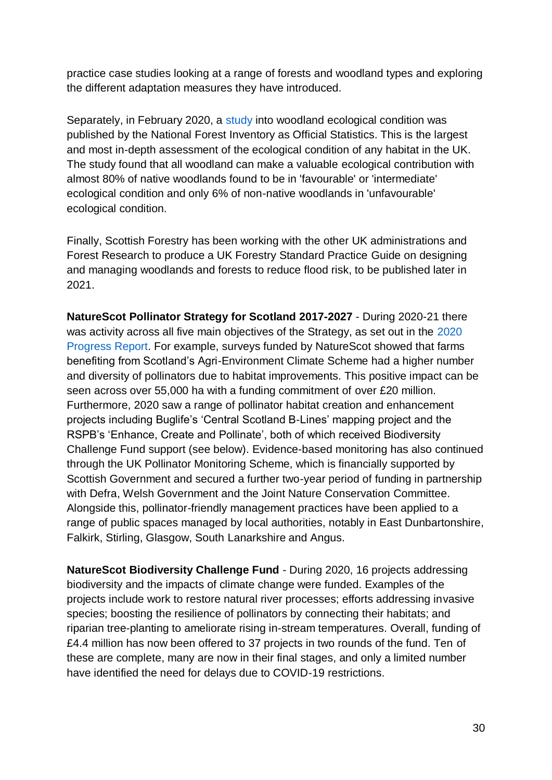practice case studies looking at a range of forests and woodland types and exploring the different adaptation measures they have introduced.

Separately, in February 2020, a [study](https://www.forestresearch.gov.uk/tools-and-resources/national-forest-inventory/what-our-woodlands-and-tree-cover-outside-woodlands-are-like-today-8211-nfi-inventory-reports-and-woodland-map-reports/nfi-woodland-ecological-condition/) into woodland ecological condition was published by the National Forest Inventory as Official Statistics. This is the largest and most in-depth assessment of the ecological condition of any habitat in the UK. The study found that all woodland can make a valuable ecological contribution with almost 80% of native woodlands found to be in 'favourable' or 'intermediate' ecological condition and only 6% of non-native woodlands in 'unfavourable' ecological condition.

Finally, Scottish Forestry has been working with the other UK administrations and Forest Research to produce a UK Forestry Standard Practice Guide on designing and managing woodlands and forests to reduce flood risk, to be published later in 2021.

**NatureScot Pollinator Strategy for Scotland 2017-2027** - During 2020-21 there was activity across all five main objectives of the Strategy, as set out in the [2020](https://www.nature.scot/pollinator-strategy-2020-progress-report)  [Progress Report.](https://www.nature.scot/pollinator-strategy-2020-progress-report) For example, surveys funded by NatureScot showed that farms benefiting from Scotland's Agri-Environment Climate Scheme had a higher number and diversity of pollinators due to habitat improvements. This positive impact can be seen across over 55,000 ha with a funding commitment of over £20 million. Furthermore, 2020 saw a range of pollinator habitat creation and enhancement projects including Buglife's 'Central Scotland B-Lines' mapping project and the RSPB's 'Enhance, Create and Pollinate', both of which received Biodiversity Challenge Fund support (see below). Evidence-based monitoring has also continued through the UK Pollinator Monitoring Scheme, which is financially supported by Scottish Government and secured a further two-year period of funding in partnership with Defra, Welsh Government and the Joint Nature Conservation Committee. Alongside this, pollinator-friendly management practices have been applied to a range of public spaces managed by local authorities, notably in East Dunbartonshire, Falkirk, Stirling, Glasgow, South Lanarkshire and Angus.

**NatureScot Biodiversity Challenge Fund** - During 2020, 16 projects addressing biodiversity and the impacts of climate change were funded. Examples of the projects include work to restore natural river processes; efforts addressing invasive species; boosting the resilience of pollinators by connecting their habitats; and riparian tree-planting to ameliorate rising in-stream temperatures. Overall, funding of £4.4 million has now been offered to 37 projects in two rounds of the fund. Ten of these are complete, many are now in their final stages, and only a limited number have identified the need for delays due to COVID-19 restrictions.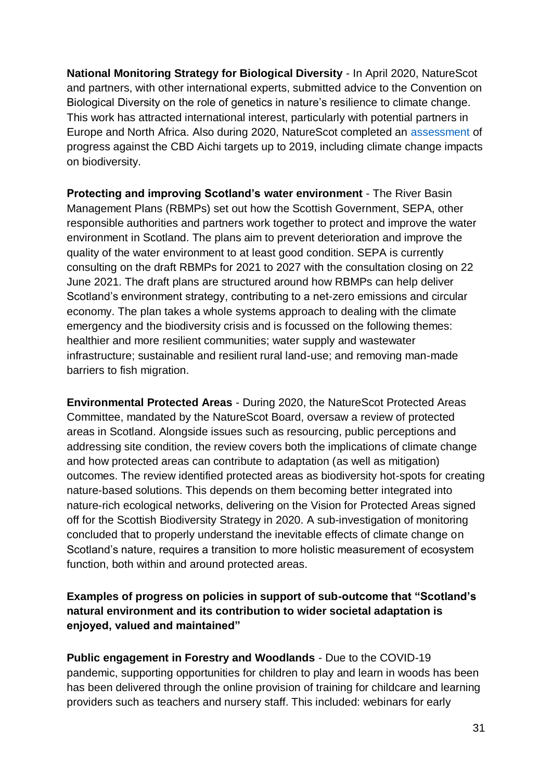**National Monitoring Strategy for Biological Diversity** - In April 2020, NatureScot and partners, with other international experts, submitted advice to the Convention on Biological Diversity on the role of genetics in nature's resilience to climate change. This work has attracted international interest, particularly with potential partners in Europe and North Africa. Also during 2020, NatureScot completed an [assessment](https://www.nature.scot/scotlands-biodiversity-progress-2020-aichi-targets-report-2019) of progress against the CBD Aichi targets up to 2019, including climate change impacts on biodiversity.

**Protecting and improving Scotland's water environment** - The River Basin Management Plans (RBMPs) set out how the Scottish Government, SEPA, other responsible authorities and partners work together to protect and improve the water environment in Scotland. The plans aim to prevent deterioration and improve the quality of the water environment to at least good condition. SEPA is currently consulting on the draft RBMPs for 2021 to 2027 with the consultation closing on 22 June 2021. The draft plans are structured around how RBMPs can help deliver Scotland's environment strategy, contributing to a net-zero emissions and circular economy. The plan takes a whole systems approach to dealing with the climate emergency and the biodiversity crisis and is focussed on the following themes: healthier and more resilient communities; water supply and wastewater infrastructure; sustainable and resilient rural land-use; and removing man-made barriers to fish migration.

**Environmental Protected Areas** - During 2020, the NatureScot Protected Areas Committee, mandated by the NatureScot Board, oversaw a review of protected areas in Scotland. Alongside issues such as resourcing, public perceptions and addressing site condition, the review covers both the implications of climate change and how protected areas can contribute to adaptation (as well as mitigation) outcomes. The review identified protected areas as biodiversity hot-spots for creating nature-based solutions. This depends on them becoming better integrated into nature-rich ecological networks, delivering on the Vision for Protected Areas signed off for the Scottish Biodiversity Strategy in 2020. A sub-investigation of monitoring concluded that to properly understand the inevitable effects of climate change on Scotland's nature, requires a transition to more holistic measurement of ecosystem function, both within and around protected areas.

## **Examples of progress on policies in support of sub-outcome that "Scotland's natural environment and its contribution to wider societal adaptation is enjoyed, valued and maintained"**

**Public engagement in Forestry and Woodlands** - Due to the COVID-19 pandemic, supporting opportunities for children to play and learn in woods has been has been delivered through the online provision of training for childcare and learning providers such as teachers and nursery staff. This included: webinars for early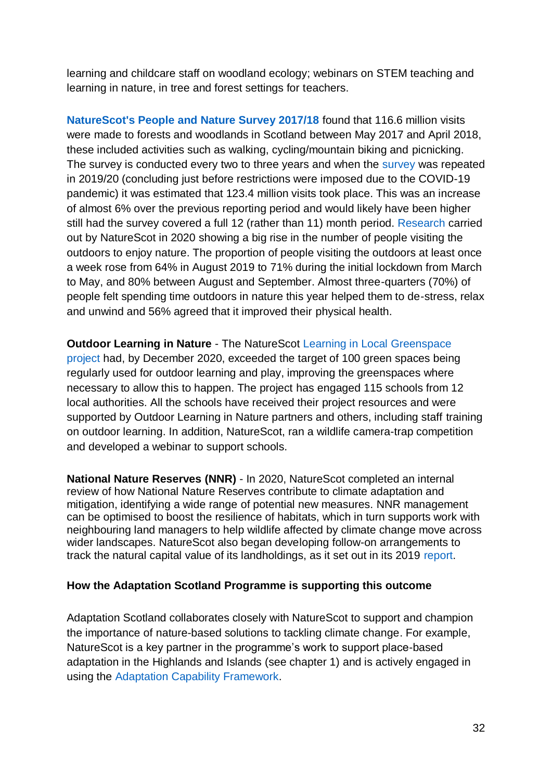learning and childcare staff on woodland ecology; webinars on STEM teaching and learning in nature, in tree and forest settings for teachers.

**[NatureScot's People and Nature Survey 2017/18](https://www.nature.scot/sites/default/files/2018-11/Publication%202018%20-%20SNH%20Research%20Report%201062%20-%20Scotland)** found that 116.6 million visits were made to forests and woodlands in Scotland between May 2017 and April 2018, these included activities such as walking, cycling/mountain biking and picnicking. The [survey](https://www.nature.scot/naturescot-research-report-1227-scotlands-people-and-nature-survey-201920-outdoor-recreation-health) is conducted every two to three years and when the survey was repeated in 2019/20 (concluding just before restrictions were imposed due to the COVID-19 pandemic) it was estimated that 123.4 million visits took place. This was an increase of almost 6% over the previous reporting period and would likely have been higher still had the survey covered a full 12 (rather than 11) month period. [Research](https://www.nature.scot/sites/default/files/2020-12/Publication%202020%20-%20NatureScot%20Research%20Report%201255%20-%20Enjoying%20the%20outdoors-%20Monitoring%20the%20impact%20of%20Coronavirus%20and%20social%20distancing%20-%20Wave%202%20survey%20results_0.pdf) carried out by NatureScot in 2020 showing a big rise in the number of people visiting the outdoors to enjoy nature. The proportion of people visiting the outdoors at least once a week rose from 64% in August 2019 to 71% during the initial lockdown from March to May, and 80% between August and September. Almost three-quarters (70%) of people felt spending time outdoors in nature this year helped them to de-stress, relax and unwind and 56% agreed that it improved their physical health.

**Outdoor Learning in Nature** - The NatureScot [Learning in Local Greenspace](https://www.nature.scot/professional-advice/young-people-learning-outdoors-and-developing-skills/learning-local-greenspace#:~:text=Learning%20in%20Local%20Greenspace%20was%20a%20priority%20project,learning%20in%20the%20outdoors%20on%20a%20regular%20basis.)  [project](https://www.nature.scot/professional-advice/young-people-learning-outdoors-and-developing-skills/learning-local-greenspace#:~:text=Learning%20in%20Local%20Greenspace%20was%20a%20priority%20project,learning%20in%20the%20outdoors%20on%20a%20regular%20basis.) had, by December 2020, exceeded the target of 100 green spaces being regularly used for outdoor learning and play, improving the greenspaces where necessary to allow this to happen. The project has engaged 115 schools from 12 local authorities. All the schools have received their project resources and were supported by Outdoor Learning in Nature partners and others, including staff training on outdoor learning. In addition, NatureScot, ran a wildlife camera-trap competition and developed a webinar to support schools.

**National Nature Reserves (NNR)** - In 2020, NatureScot completed an internal review of how National Nature Reserves contribute to climate adaptation and mitigation, identifying a wide range of potential new measures. NNR management can be optimised to boost the resilience of habitats, which in turn supports work with neighbouring land managers to help wildlife affected by climate change move across wider landscapes. NatureScot also began developing follow-on arrangements to track the natural capital value of its landholdings, as it set out in its 2019 [report.](https://www.nature.scot/professional-advice/planning-and-development/social-and-economic-benefits-nature/testing-natural-capital-approach-naturescot-land)

#### **How the Adaptation Scotland Programme is supporting this outcome**

Adaptation Scotland collaborates closely with NatureScot to support and champion the importance of nature-based solutions to tackling climate change. For example, NatureScot is a key partner in the programme's work to support place-based adaptation in the Highlands and Islands (see chapter 1) and is actively engaged in using the [Adaptation Capability Framework.](https://www.adaptationscotland.org.uk/how-adapt/your-sector/public-sector/framework)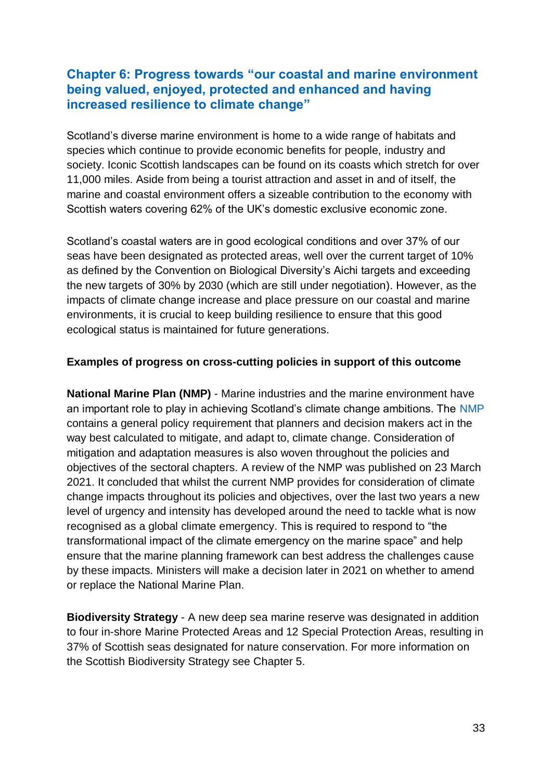# **Chapter 6: Progress towards "our coastal and marine environment being valued, enjoyed, protected and enhanced and having increased resilience to climate change"**

Scotland's diverse marine environment is home to a wide range of habitats and species which continue to provide economic benefits for people, industry and society. Iconic Scottish landscapes can be found on its coasts which stretch for over 11,000 miles. Aside from being a tourist attraction and asset in and of itself, the marine and coastal environment offers a sizeable contribution to the economy with Scottish waters covering 62% of the UK's domestic exclusive economic zone.

Scotland's coastal waters are in good ecological conditions and over 37% of our seas have been designated as protected areas, well over the current target of 10% as defined by the Convention on Biological Diversity's Aichi targets and exceeding the new targets of 30% by 2030 (which are still under negotiation). However, as the impacts of climate change increase and place pressure on our coastal and marine environments, it is crucial to keep building resilience to ensure that this good ecological status is maintained for future generations.

#### **Examples of progress on cross-cutting policies in support of this outcome**

**National Marine Plan (NMP)** - Marine industries and the marine environment have an important role to play in achieving Scotland's climate change ambitions. The [NMP](https://www.gov.scot/publications/scotlands-national-marine-plan/) contains a general policy requirement that planners and decision makers act in the way best calculated to mitigate, and adapt to, climate change. Consideration of mitigation and adaptation measures is also woven throughout the policies and objectives of the sectoral chapters. A review of the NMP was published on 23 March 2021. It concluded that whilst the current NMP provides for consideration of climate change impacts throughout its policies and objectives, over the last two years a new level of urgency and intensity has developed around the need to tackle what is now recognised as a global climate emergency. This is required to respond to "the transformational impact of the climate emergency on the marine space" and help ensure that the marine planning framework can best address the challenges cause by these impacts. Ministers will make a decision later in 2021 on whether to amend or replace the National Marine Plan.

**Biodiversity Strategy** - A new deep sea marine reserve was designated in addition to four in-shore Marine Protected Areas and 12 Special Protection Areas, resulting in 37% of Scottish seas designated for nature conservation. For more information on the Scottish Biodiversity Strategy see Chapter 5.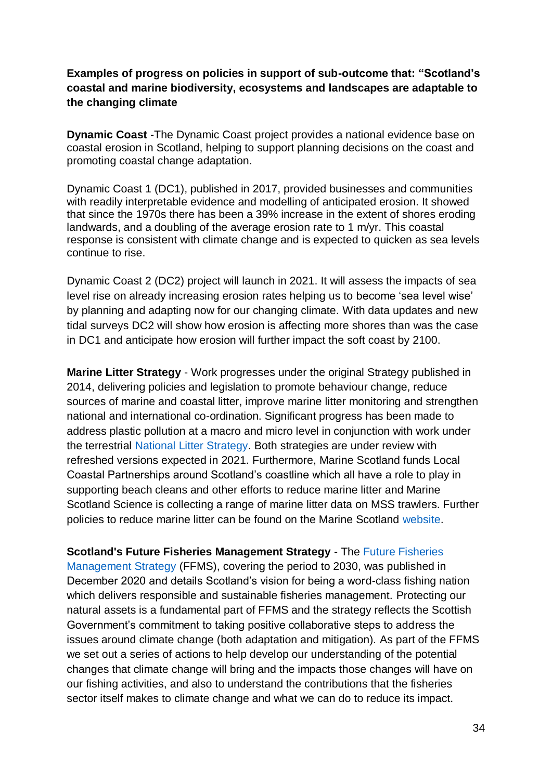## **Examples of progress on policies in support of sub-outcome that: "Scotland's coastal and marine biodiversity, ecosystems and landscapes are adaptable to the changing climate**

**Dynamic Coast** -The Dynamic Coast project provides a national evidence base on coastal erosion in Scotland, helping to support planning decisions on the coast and promoting coastal change adaptation.

Dynamic Coast 1 (DC1), published in 2017, provided businesses and communities with readily interpretable evidence and modelling of anticipated erosion. It showed that since the 1970s there has been a 39% increase in the extent of shores eroding landwards, and a doubling of the average erosion rate to 1 m/yr. This coastal response is consistent with climate change and is expected to quicken as sea levels continue to rise.

Dynamic Coast 2 (DC2) project will launch in 2021. It will assess the impacts of sea level rise on already increasing erosion rates helping us to become 'sea level wise' by planning and adapting now for our changing climate. With data updates and new tidal surveys DC2 will show how erosion is affecting more shores than was the case in DC1 and anticipate how erosion will further impact the soft coast by 2100.

**Marine Litter Strategy** - Work progresses under the original Strategy published in 2014, delivering policies and legislation to promote behaviour change, reduce sources of marine and coastal litter, improve marine litter monitoring and strengthen national and international co-ordination. Significant progress has been made to address plastic pollution at a macro and micro level in conjunction with work under the terrestrial [National Litter Strategy.](https://www.gov.scot/publications/towards-litter-free-scotland-strategic-approach-higher-quality-local-environments/) Both strategies are under review with refreshed versions expected in 2021. Furthermore, Marine Scotland funds Local Coastal Partnerships around Scotland's coastline which all have a role to play in supporting beach cleans and other efforts to reduce marine litter and Marine Scotland Science is collecting a range of marine litter data on MSS trawlers. Further policies to reduce marine litter can be found on the Marine Scotland [website.](https://www.gov.scot/policies/marine-environment/marine-litter/)

**Scotland's Future Fisheries Management Strategy** - The [Future Fisheries](https://www.gov.scot/publications/scotlands-future-fisheries-management-strategy-2020-2030/) 

[Management Strategy](https://www.gov.scot/publications/scotlands-future-fisheries-management-strategy-2020-2030/) (FFMS), covering the period to 2030, was published in December 2020 and details Scotland's vision for being a word-class fishing nation which delivers responsible and sustainable fisheries management. Protecting our natural assets is a fundamental part of FFMS and the strategy reflects the Scottish Government's commitment to taking positive collaborative steps to address the issues around climate change (both adaptation and mitigation). As part of the FFMS we set out a series of actions to help develop our understanding of the potential changes that climate change will bring and the impacts those changes will have on our fishing activities, and also to understand the contributions that the fisheries sector itself makes to climate change and what we can do to reduce its impact.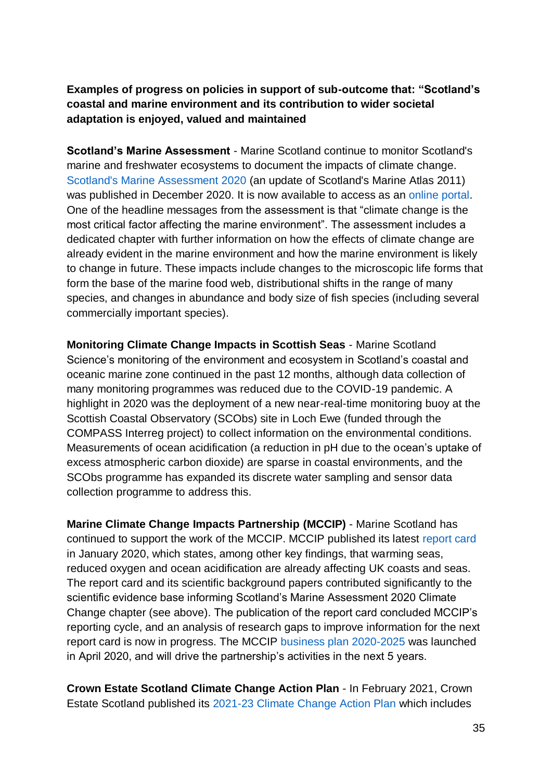# **Examples of progress on policies in support of sub-outcome that: "Scotland's coastal and marine environment and its contribution to wider societal adaptation is enjoyed, valued and maintained**

**Scotland's Marine Assessment** - Marine Scotland continue to monitor Scotland's marine and freshwater ecosystems to document the impacts of climate change. [Scotland's Marine Assessment 2020](http://marine.gov.scot/sma) (an update of Scotland's Marine Atlas 2011) was published in December 2020. It is now available to access as an [online portal.](https://marine.gov.scot/sma/) One of the headline messages from the assessment is that "climate change is the most critical factor affecting the marine environment". The assessment includes a dedicated chapter with further information on how the effects of climate change are already evident in the marine environment and how the marine environment is likely to change in future. These impacts include changes to the microscopic life forms that form the base of the marine food web, distributional shifts in the range of many species, and changes in abundance and body size of fish species (including several commercially important species).

**Monitoring Climate Change Impacts in Scottish Seas** - Marine Scotland Science's monitoring of the environment and ecosystem in Scotland's coastal and oceanic marine zone continued in the past 12 months, although data collection of many monitoring programmes was reduced due to the COVID-19 pandemic. A highlight in 2020 was the deployment of a new near-real-time monitoring buoy at the Scottish Coastal Observatory (SCObs) site in Loch Ewe (funded through the COMPASS Interreg project) to collect information on the environmental conditions. Measurements of ocean acidification (a reduction in pH due to the ocean's uptake of excess atmospheric carbon dioxide) are sparse in coastal environments, and the SCObs programme has expanded its discrete water sampling and sensor data collection programme to address this.

**Marine Climate Change Impacts Partnership (MCCIP)** - Marine Scotland has continued to support the work of the MCCIP. MCCIP published its latest [report card](http://www.mccip.org.uk/impacts-report-cards/full-report-cards/2020/) in January 2020, which states, among other key findings, that warming seas, reduced oxygen and ocean acidification are already affecting UK coasts and seas. The report card and its scientific background papers contributed significantly to the scientific evidence base informing Scotland's Marine Assessment 2020 Climate Change chapter (see above). The publication of the report card concluded MCCIP's reporting cycle, and an analysis of research gaps to improve information for the next report card is now in progress. The MCCIP [business plan 2020-2025](http://www.mccip.org.uk/media/2034/mccip-phase-iv-business-plan-2020-2025.pdf) was launched in April 2020, and will drive the partnership's activities in the next 5 years.

**Crown Estate Scotland Climate Change Action Plan** - In February 2021, Crown Estate Scotland published its [2021-23 Climate Change Action Plan](https://www.crownestatescotland.com/media-and-notices/news-media-releases-opinion/our-plan-to-tackle-emissions-and-adapt-to-climate-change) which includes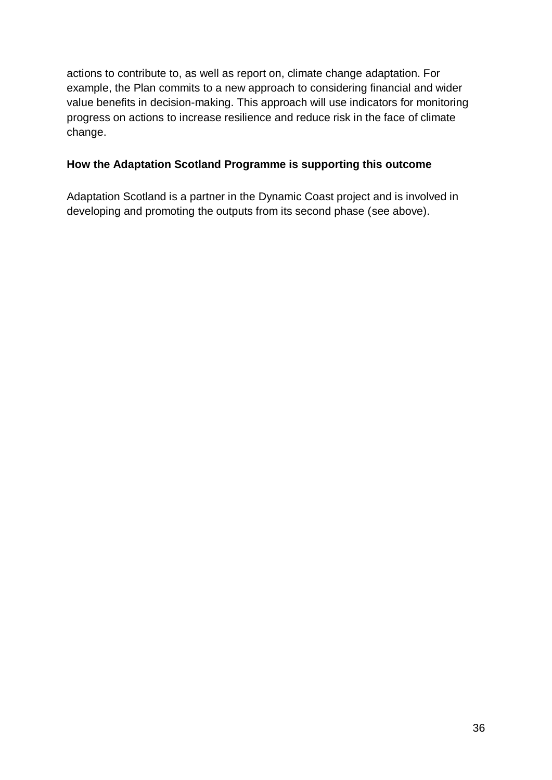actions to contribute to, as well as report on, climate change adaptation. For example, the Plan commits to a new approach to considering financial and wider value benefits in decision-making. This approach will use indicators for monitoring progress on actions to increase resilience and reduce risk in the face of climate change.

### **How the Adaptation Scotland Programme is supporting this outcome**

Adaptation Scotland is a partner in the Dynamic Coast project and is involved in developing and promoting the outputs from its second phase (see above).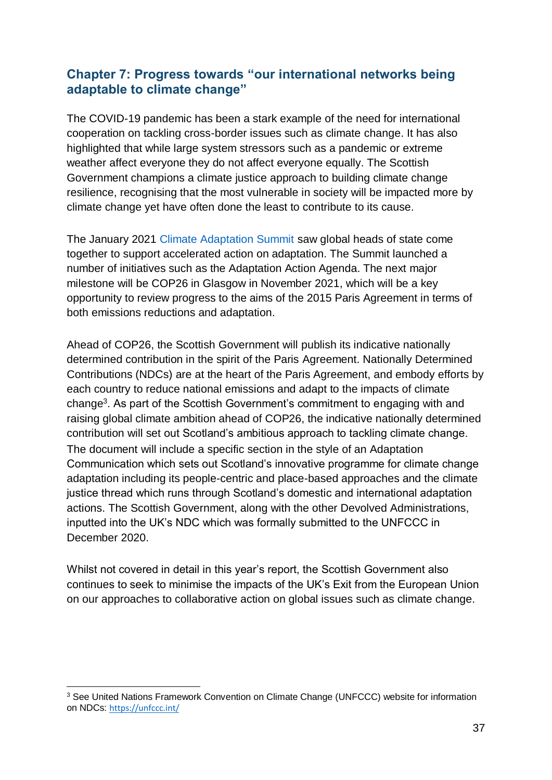# **Chapter 7: Progress towards "our international networks being adaptable to climate change"**

The COVID-19 pandemic has been a stark example of the need for international cooperation on tackling cross-border issues such as climate change. It has also highlighted that while large system stressors such as a pandemic or extreme weather affect everyone they do not affect everyone equally. The Scottish Government champions a climate justice approach to building climate change resilience, recognising that the most vulnerable in society will be impacted more by climate change yet have often done the least to contribute to its cause.

The January 2021 [Climate Adaptation Summit](http://www.cas2021.com/) saw global heads of state come together to support accelerated action on adaptation. The Summit launched a number of initiatives such as the Adaptation Action Agenda. The next major milestone will be COP26 in Glasgow in November 2021, which will be a key opportunity to review progress to the aims of the 2015 Paris Agreement in terms of both emissions reductions and adaptation.

Ahead of COP26, the Scottish Government will publish its indicative nationally determined contribution in the spirit of the Paris Agreement. Nationally Determined Contributions (NDCs) are at the heart of the Paris Agreement, and embody efforts by each country to reduce national emissions and adapt to the impacts of climate change<sup>3</sup>. As part of the Scottish Government's commitment to engaging with and raising global climate ambition ahead of COP26, the indicative nationally determined contribution will set out Scotland's ambitious approach to tackling climate change. The document will include a specific section in the style of an Adaptation Communication which sets out Scotland's innovative programme for climate change adaptation including its people-centric and place-based approaches and the climate justice thread which runs through Scotland's domestic and international adaptation actions. The Scottish Government, along with the other Devolved Administrations, inputted into the UK's NDC which was formally submitted to the UNFCCC in December 2020.

Whilst not covered in detail in this year's report, the Scottish Government also continues to seek to minimise the impacts of the UK's Exit from the European Union on our approaches to collaborative action on global issues such as climate change.

<sup>1</sup> <sup>3</sup> See United Nations Framework Convention on Climate Change (UNFCCC) website for information on NDCs: <https://unfccc.int/>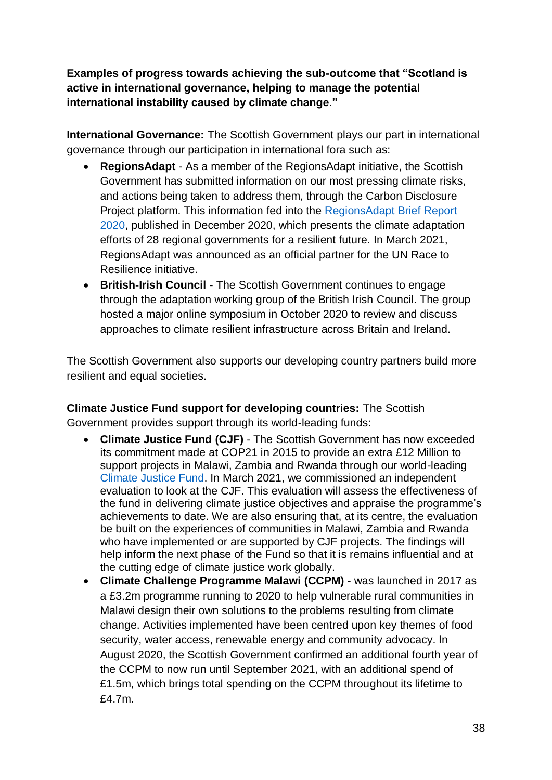**Examples of progress towards achieving the sub-outcome that "Scotland is active in international governance, helping to manage the potential international instability caused by climate change."**

**International Governance:** The Scottish Government plays our part in international governance through our participation in international fora such as:

- **RegionsAdapt**  As a member of the RegionsAdapt initiative, the Scottish Government has submitted information on our most pressing climate risks, and actions being taken to address them, through the Carbon Disclosure Project platform. This information fed into the [RegionsAdapt Brief Report](https://www.regions4.org/wp-content/uploads/2020/12/RegionsAdapt_2020_Brief-Report_.pdf)  [2020,](https://www.regions4.org/wp-content/uploads/2020/12/RegionsAdapt_2020_Brief-Report_.pdf) published in December 2020, which presents the climate adaptation efforts of 28 regional governments for a resilient future. In March 2021, RegionsAdapt was announced as an official partner for the UN Race to Resilience initiative.
- **British-Irish Council** The Scottish Government continues to engage through the adaptation working group of the British Irish Council. The group hosted a major online symposium in October 2020 to review and discuss approaches to climate resilient infrastructure across Britain and Ireland.

The Scottish Government also supports our developing country partners build more resilient and equal societies.

**Climate Justice Fund support for developing countries:** The Scottish Government provides support through its world-leading funds:

- **Climate Justice Fund (CJF)** The Scottish Government has now exceeded its commitment made at COP21 in 2015 to provide an extra £12 Million to support projects in Malawi, Zambia and Rwanda through our world-leading [Climate Justice Fund.](https://www.gov.scot/policies/international-development/climate-justice-fund/) In March 2021, we commissioned an independent evaluation to look at the CJF. This evaluation will assess the effectiveness of the fund in delivering climate justice objectives and appraise the programme's achievements to date. We are also ensuring that, at its centre, the evaluation be built on the experiences of communities in Malawi, Zambia and Rwanda who have implemented or are supported by CJF projects. The findings will help inform the next phase of the Fund so that it is remains influential and at the cutting edge of climate justice work globally.
- **Climate Challenge Programme Malawi (CCPM)** was launched in 2017 as a £3.2m programme running to 2020 to help vulnerable rural communities in Malawi design their own solutions to the problems resulting from climate change. Activities implemented have been centred upon key themes of food security, water access, renewable energy and community advocacy. In August 2020, the Scottish Government confirmed an additional fourth year of the CCPM to now run until September 2021, with an additional spend of £1.5m, which brings total spending on the CCPM throughout its lifetime to £4.7m.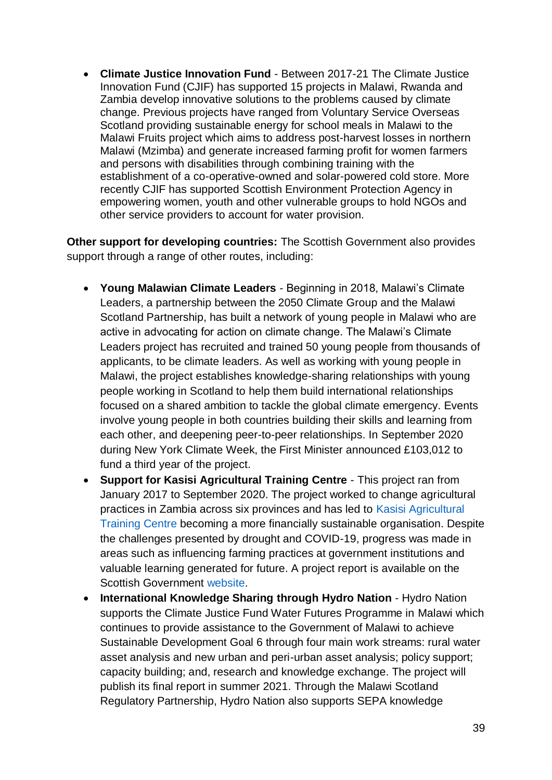• **Climate Justice Innovation Fund** - Between 2017-21 The Climate Justice Innovation Fund (CJIF) has supported 15 projects in Malawi, Rwanda and Zambia develop innovative solutions to the problems caused by climate change. Previous projects have ranged from Voluntary Service Overseas Scotland providing sustainable energy for school meals in Malawi to the Malawi Fruits project which aims to address post-harvest losses in northern Malawi (Mzimba) and generate increased farming profit for women farmers and persons with disabilities through combining training with the establishment of a co-operative-owned and solar-powered cold store. More recently CJIF has supported Scottish Environment Protection Agency in empowering women, youth and other vulnerable groups to hold NGOs and other service providers to account for water provision.

**Other support for developing countries:** The Scottish Government also provides support through a range of other routes, including:

- **Young Malawian Climate Leaders** Beginning in 2018, Malawi's Climate Leaders, a partnership between the 2050 Climate Group and the Malawi Scotland Partnership, has built a network of young people in Malawi who are active in advocating for action on climate change. The Malawi's Climate Leaders project has recruited and trained 50 young people from thousands of applicants, to be climate leaders. As well as working with young people in Malawi, the project establishes knowledge-sharing relationships with young people working in Scotland to help them build international relationships focused on a shared ambition to tackle the global climate emergency. Events involve young people in both countries building their skills and learning from each other, and deepening peer-to-peer relationships. In September 2020 during New York Climate Week, the First Minister announced £103,012 to fund a third year of the project.
- **Support for Kasisi Agricultural Training Centre** This project ran from January 2017 to September 2020. The project worked to change agricultural practices in Zambia across six provinces and has led to [Kasisi Agricultural](https://www.katczm.org/)  [Training Centre](https://www.katczm.org/) becoming a more financially sustainable organisation. Despite the challenges presented by drought and COVID-19, progress was made in areas such as influencing farming practices at government institutions and valuable learning generated for future. A project report is available on the Scottish Government [website.](https://www.gov.scot/binaries/content/documents/govscot/publications/transparency-data/2020/08/capacity-strengthening-projects-2019-2020-reports/documents/cottish-government-international-development-programme-final-report/cottish-government-international-development-programme-final-report/govscot%3Adocument/ZAM%2B-%2BSCIAF%2B-%2BKATC%2BCapacity%2BBuilding%2BProject%2B-%2BFinal%2BReport%2B%2B-%2B16%2BDecember%2B2020.pdf)
- **International Knowledge Sharing through Hydro Nation** Hydro Nation supports the Climate Justice Fund Water Futures Programme in Malawi which continues to provide assistance to the Government of Malawi to achieve Sustainable Development Goal 6 through four main work streams: rural water asset analysis and new urban and peri-urban asset analysis; policy support; capacity building; and, research and knowledge exchange. The project will publish its final report in summer 2021. Through the Malawi Scotland Regulatory Partnership, Hydro Nation also supports SEPA knowledge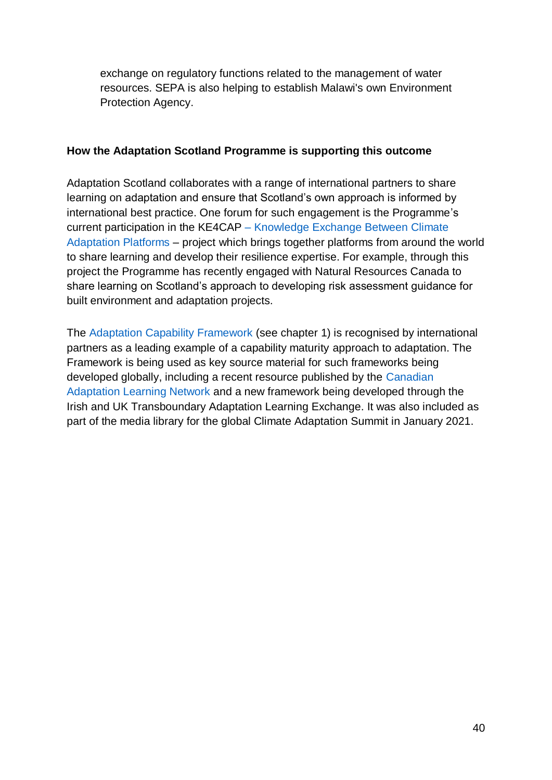exchange on regulatory functions related to the management of water resources. SEPA is also helping to establish Malawi's own Environment Protection Agency.

#### **How the Adaptation Scotland Programme is supporting this outcome**

Adaptation Scotland collaborates with a range of international partners to share learning on adaptation and ensure that Scotland's own approach is informed by international best practice. One forum for such engagement is the Programme's current participation in the KE4CAP – [Knowledge Exchange Between Climate](https://www.weadapt.org/knowledge-base/climate-change-adaptation-knowledge-platforms/the-ke4cap-project)  [Adaptation Platforms](https://www.weadapt.org/knowledge-base/climate-change-adaptation-knowledge-platforms/the-ke4cap-project) – project which brings together platforms from around the world to share learning and develop their resilience expertise. For example, through this project the Programme has recently engaged with Natural Resources Canada to share learning on Scotland's approach to developing risk assessment guidance for built environment and adaptation projects.

The [Adaptation Capability Framework](https://www.adaptationscotland.org.uk/how-adapt/your-sector/public-sector/framework) (see chapter 1) is recognised by international partners as a leading example of a capability maturity approach to adaptation. The Framework is being used as key source material for such frameworks being developed globally, including a recent resource published by the [Canadian](https://adaptationlearningnetwork.com/climate-adaptation-competency-framework)  [Adaptation Learning Network](https://adaptationlearningnetwork.com/climate-adaptation-competency-framework) and a new framework being developed through the Irish and UK Transboundary Adaptation Learning Exchange. It was also included as part of the media library for the global Climate Adaptation Summit in January 2021.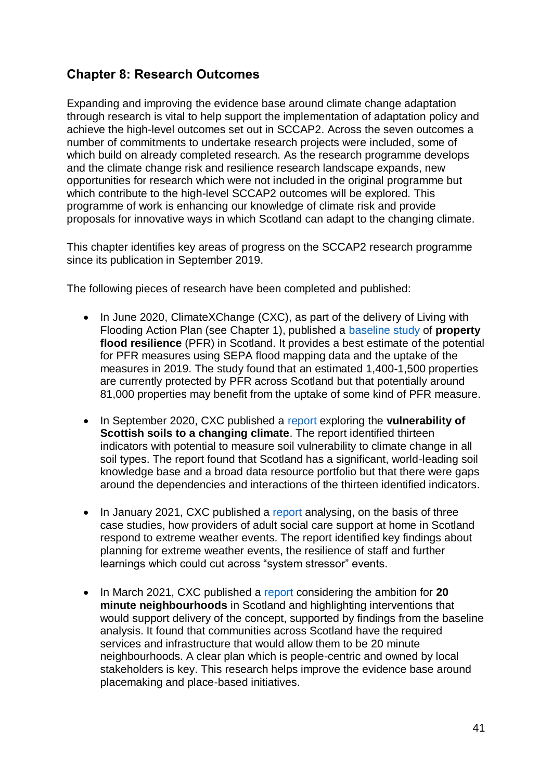# **Chapter 8: Research Outcomes**

Expanding and improving the evidence base around climate change adaptation through research is vital to help support the implementation of adaptation policy and achieve the high-level outcomes set out in SCCAP2. Across the seven outcomes a number of commitments to undertake research projects were included, some of which build on already completed research. As the research programme develops and the climate change risk and resilience research landscape expands, new opportunities for research which were not included in the original programme but which contribute to the high-level SCCAP2 outcomes will be explored. This programme of work is enhancing our knowledge of climate risk and provide proposals for innovative ways in which Scotland can adapt to the changing climate.

This chapter identifies key areas of progress on the SCCAP2 research programme since its publication in September 2019.

The following pieces of research have been completed and published:

- In June 2020, ClimateXChange (CXC), as part of the delivery of Living with Flooding Action Plan (see Chapter 1), published a [baseline study](https://www.climatexchange.org.uk/research/projects/property-flood-resilience-scottish-baseline-study/) of **property flood resilience** (PFR) in Scotland. It provides a best estimate of the potential for PFR measures using SEPA flood mapping data and the uptake of the measures in 2019. The study found that an estimated 1,400-1,500 properties are currently protected by PFR across Scotland but that potentially around 81,000 properties may benefit from the uptake of some kind of PFR measure.
- In September 2020, CXC published a [report](https://www.climatexchange.org.uk/research/projects/measuring-the-vulnerability-of-scottish-soils-to-a-changing-climate/) exploring the **vulnerability of Scottish soils to a changing climate**. The report identified thirteen indicators with potential to measure soil vulnerability to climate change in all soil types. The report found that Scotland has a significant, world-leading soil knowledge base and a broad data resource portfolio but that there were gaps around the dependencies and interactions of the thirteen identified indicators.
- In January 2021, CXC published a [report](https://www.climatexchange.org.uk/research/projects/delivering-social-care-in-a-changing-climate/#:~:text=Delivering%20social%20care%20in%20a%20changing%20climate%20Weather,and%20one%20which%20will%20impact%20vulnerable%20people%20disproportionally.) analysing, on the basis of three case studies, how providers of adult social care support at home in Scotland respond to extreme weather events. The report identified key findings about planning for extreme weather events, the resilience of staff and further learnings which could cut across "system stressor" events.
- In March 2021, CXC published a [report](https://www.climatexchange.org.uk/media/4661/cxc-20-minute-neighbourhoods-in-a-scottish-context-march-2021.pdf) considering the ambition for **20 minute neighbourhoods** in Scotland and highlighting interventions that would support delivery of the concept, supported by findings from the baseline analysis. It found that communities across Scotland have the required services and infrastructure that would allow them to be 20 minute neighbourhoods. A clear plan which is people-centric and owned by local stakeholders is key. This research helps improve the evidence base around placemaking and place-based initiatives.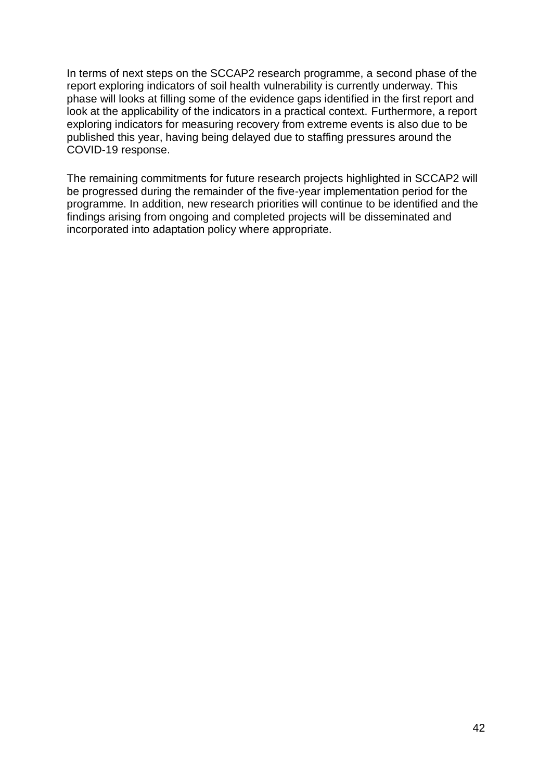In terms of next steps on the SCCAP2 research programme, a second phase of the report exploring indicators of soil health vulnerability is currently underway. This phase will looks at filling some of the evidence gaps identified in the first report and look at the applicability of the indicators in a practical context. Furthermore, a report exploring indicators for measuring recovery from extreme events is also due to be published this year, having being delayed due to staffing pressures around the COVID-19 response.

The remaining commitments for future research projects highlighted in SCCAP2 will be progressed during the remainder of the five-year implementation period for the programme. In addition, new research priorities will continue to be identified and the findings arising from ongoing and completed projects will be disseminated and incorporated into adaptation policy where appropriate.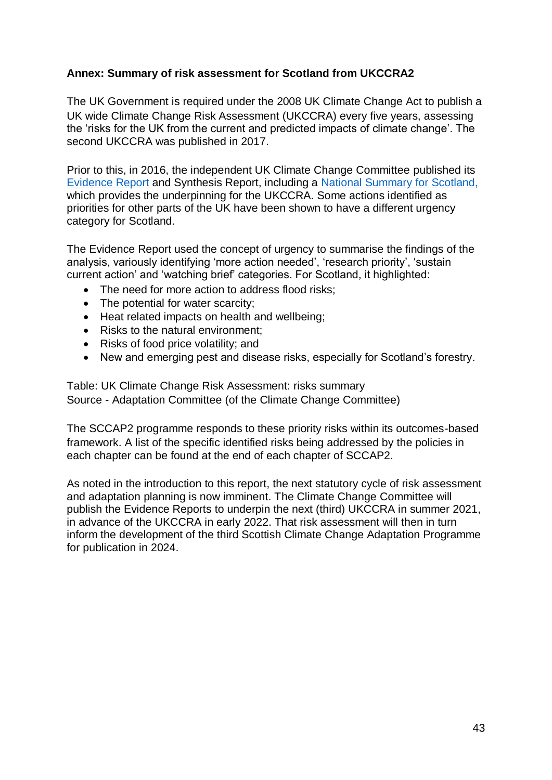### **Annex: Summary of risk assessment for Scotland from UKCCRA2**

The UK Government is required under the 2008 UK Climate Change Act to publish a UK wide Climate Change Risk Assessment (UKCCRA) every five years, assessing the 'risks for the UK from the current and predicted impacts of climate change'. The second UKCCRA was published in 2017.

Prior to this, in 2016, the independent UK Climate Change Committee published its [Evidence](https://www.theccc.org.uk/uk-climate-change-risk-assessment-2017/) Report and Synthesis Report, including a [National Summary for Scotland,](https://www.adaptationscotland.org.uk/how-adapt/tools-and-resources/uk-climate-risk-assessment-2017-scotland-summary#:~:text=This%20national%20summary%20presents%20the%20Scotland-specific%20evidence%20included,environment%2C%20business%20and%20industry%2C%20and%20various%20cross-cutting%20issues.) which provides the underpinning for the UKCCRA. Some actions identified as priorities for other parts of the UK have been shown to have a different urgency category for Scotland.

The Evidence Report used the concept of urgency to summarise the findings of the analysis, variously identifying 'more action needed', 'research priority', 'sustain current action' and 'watching brief' categories. For Scotland, it highlighted:

- The need for more action to address flood risks:
- The potential for water scarcity;
- Heat related impacts on health and wellbeing;
- Risks to the natural environment:
- Risks of food price volatility; and
- New and emerging pest and disease risks, especially for Scotland's forestry.

Table: UK Climate Change Risk Assessment: risks summary Source - Adaptation Committee (of the Climate Change Committee)

The SCCAP2 programme responds to these priority risks within its outcomes-based framework. A list of the specific identified risks being addressed by the policies in each chapter can be found at the end of each chapter of SCCAP2.

As noted in the introduction to this report, the next statutory cycle of risk assessment and adaptation planning is now imminent. The Climate Change Committee will publish the Evidence Reports to underpin the next (third) UKCCRA in summer 2021, in advance of the UKCCRA in early 2022. That risk assessment will then in turn inform the development of the third Scottish Climate Change Adaptation Programme for publication in 2024.